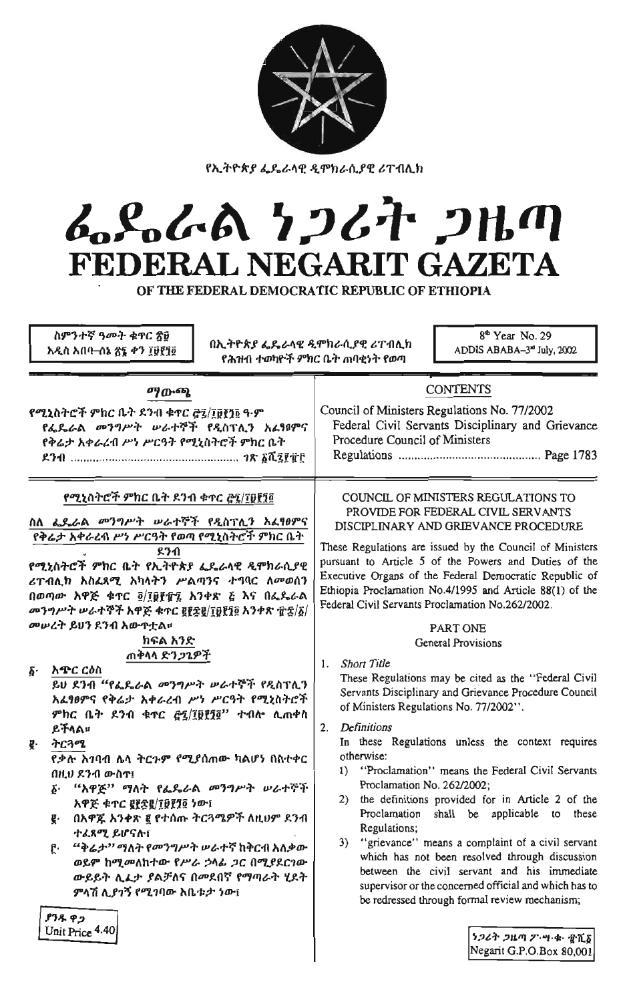

የኢትዮጵያ ፌዴራላዊ ዲሞክራሲያዊ ሪፐብሊክ

# んとんめ ケンムヤ クルの FEDERAL NEGARIT GAZETA

OF THE FEDERAL DEMOCRATIC REPUBLIC OF ETHIOPIA

ስምንተኛ ዓመት ቁዋር ፳፱ አዲስ አበባ-ሰኔ ኛ፮ ቀን ፲፱፻፺፬

በኢትዮጵያ ፌዴራላዊ ዲሞከራሲያዊ ሪፐብሊክ የሕዝብ ተወካዮች ምክር ቤት ሐባቂነት የወጣ

8<sup>th</sup> Year No. 29 ADDIS ABABA-3<sup>rd</sup> July, 2002

Negarit G.P.O.Box 80,001

#### **CONTENTS** ማውጫ Council of Ministers Regulations No. 77/2002 የሚኒስትሮች ምክር ቤት ደንብ ቁተር ሮ፯/፲፱፻፺፬ ዓ-ም Federal Civil Servants Disciplinary and Grievance የፌዴራል መንግሥት ሠራተኞች የዲስፕሊን አፈፃፀምና Procedure Council of Ministers የቅሬታ አቀራረብ ሥነ ሥርዓት የሚኒስትሮች ምክር ቤት የሚኒስትሮች ምክር ቤት ደንብ ቁጥር <u>ሮ፯/፲፱</u>፻፺፬ COUNCIL OF MINISTERS REGULATIONS TO PROVIDE FOR FEDERAL CIVIL SERVANTS ስለ ፌዴራል መንግሥት ሠራተኞች የዲስፐሊን አፈፃፀምና DISCIPLINARY AND GRIEVANCE PROCEDURE የቅሬታ አቀራረብ ሥነ ሥርዓት የወጣ የሚኒስትሮች ምክር ቤት These Regulations are issued by the Council of Ministers ደንብ pursuant to Article 5 of the Powers and Duties of the የሚኒስትሮች ምክር ቤት የኢትዮጵያ ፌዴራላዊ ዲሞክራሲያዊ Executive Organs of the Federal Democratic Republic of ሪፐብሊክ አስፈጻሚ አካላትን ሥልጣንና ተግባር ለመወሰን Ethiopia Proclamation No.4/1995 and Article 88(1) of the በወጣው እዋጅ ቁጥር ፬/፲፱፻፹፯ አንቀጽ ፩ እና በፌዴራል Federal Civil Servants Proclamation No.262/2002. መንግሥት ሠራተኞች አዋጅ ቁጥር ፪፻፷፪/፲፱፻፺፬ አንቀጽ ፹፰/፩/ መሠረት ይሀን ደንብ አውጥቷል። PART ONE ክፍል እንድ **General Provisions** ጠቅላላ ድን*ጋጌዎች* 1. Short Title አጭር ርዕስ ۶۰ These Regulations may be cited as the "Federal Civil" ይሀ ደንብ "የፌዴራል መንግሥት ሥራተኞች የዲስፕሊን Servants Disciplinary and Grievance Procedure Council አፊፃፀምና የቅሬታ እቀራረብ ሥነ ሥርዓት የሚኒስትሮች of Ministers Regulations No. 77/2002". ምክር ቤት ደንብ ቁጥር *፸፯/፲፱፻፺፬''* ተብሎ ሊጠቀስ 2. Definitions ይችላል። In these Regulations unless the context requires ትርጓሜ Į. otherwise: የቃሉ አገባብ ሌላ ትርጉም የሚያሰጠው ካልሆነ በስተቀር 1) "Proclamation" means the Federal Civil Servants በዚህ ዶንብ ውስጥ፤ Proclamation No. 262/2002; ፩· "አዋጅ" ማለት የፌዴራል መንግሥት ሠራተኞች 2) the definitions provided for in Article 2 of the አዋጅ ቁጥር ፪፻፷፪/፲፱፻፺፬ ነው፤ Proclamation shall be applicable to these ፪· በአዋጁ አንቀጽ ፪ የተሰጡ ትርጓሜዎች ለዚህም ደንብ Regulations; ተፈጸሚ ይሆናሉ፣ 3) "grievance" means a complaint of a civil servant <u>ቦ "ቅሬታ" ማለት የመንግሥት ሠራተኛ ከቅርብ እለቃው</u> which has not been resolved through discussion ወይም ከሚመለከተው የሥራ ኃላፊ ጋር በሚያደርገው between the civil servant and his immediate ውይይት ሊፈታ ያልቻለና በመደበኛ የማጣራት ሂደት supervisor or the concerned official and which has to ምላሽ ሊያገኝ የሚገባው እቤቱታ ነው፤ be redressed through formal review mechanism; ያንዱ ዋጋ Unit Price 4.40 ንጋሪት ጋዜጣ ፖነሣ-ቁ- ፹ሺδ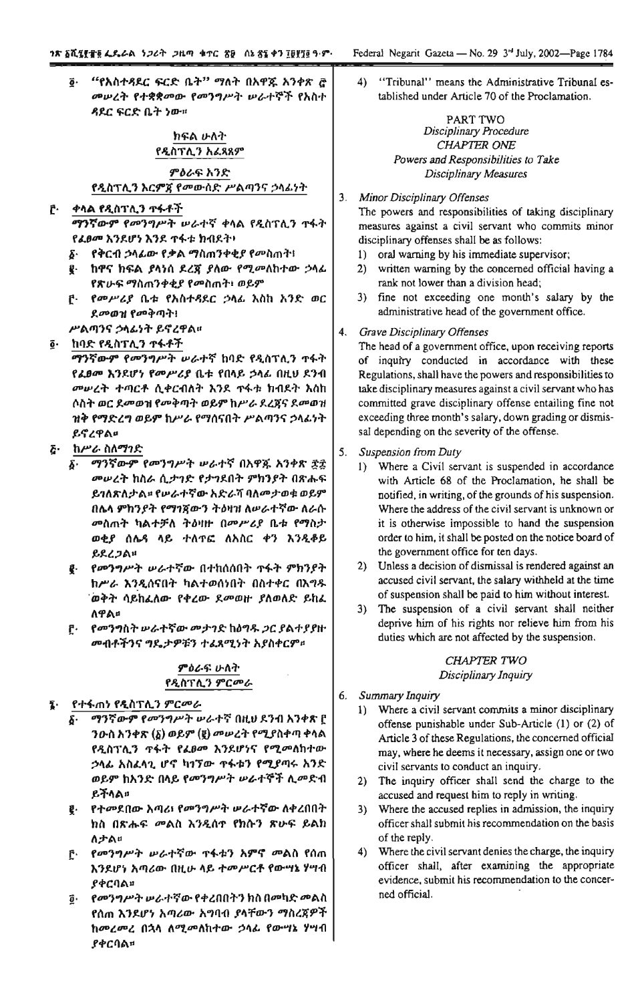"የእስተጻደር ፍርድ ቤት" ማለት በአዋጁ አንቀጽ ፸  $\vec{\mathbf{Q}}$  . መሠረት የተቋቋመው የመንግሥት ሠራተኞች የአስተ ጻደር ፍርድ ቤት ነው።

# ክፍል ሁለት የዲስፕሊን አፈጻጸም

## ምዕራፍ አንድ የዲስፕሊን እርምጀ የመውሰድ ሥልጣንና ኃላፊነት

- ፫· ቀላል የዲስፕሊን ጥፋቶች ማንኛውም የመንግሥት ሠራተኛ ቀላል የዲስፕሊን ተፋት የፊፀመ እንደሆነ እንደ ጥፋቱ ከብደት፣
	- **የቅርብ ኃላፊው የቃል ማስጠንቀቂያ የ**መስጠት፥ δ.
	- g- ከዋና ክፍል ያላንሰ ደረጃ ያለው የሚመለከተው ኃላፊ የጽሁፍ ማስጠንቀቂያ የመስጠት፣ ወይም
	- ը. *የመሥሪያ* ቤቱ የአስተዳደር ኃላፊ እስከ አንድ ወር ደ*መወዝ የመቅ*ጣት!

ሥልጣንና ኃላፊነት ይኖረዋል።

#### ፬· ከባድ የዲስፐሊን ተፋቶች

ማንኛውም የመንግሥት ሠራተኛ ከባድ የዲስፕሊን ጥፋት የፈፀመ እንደሆነ የመሥሪያ ቤቱ የበላይ ኃላፊ በዚህ ደንብ *መሥረት ተጣርቶ ሲቀርብስት እን*ደ ተፋቱ ክብደት እስከ ሶስት ወር ደመወዝ የመቅጣት ወይም ከሥራ ደረጀና ደመወዝ ዝቅ የማድረግ ወይም ከሥራ የማሰናበት ሥልጣንና ኃላፊነት ይኖረዋል።

#### <u>ξ</u>· ከሥራ ስለማንድ

- ማንኛውም የመንግሥት ሠራተኛ በአዋጁ አንቀጽ ፳፳  $\delta$ . መሠረት ከስራ ሲታገድ የታገደበት ምክንያት በጽሑፍ ይገለጽለታል፡፡ የሥራተኛው አድራሻ ባለመታወቁ ወይም በሌላ ምክንያት የማገጀውን ትዕዛዝ ለሥራተኛው ለራሱ መስጠት ካልተቻለ ት**ዕ**ዛዙ በመሥሪያ ቤቱ የማስታ ወቂያ ሰሌዳ ላይ ተለጥፎ ለአስር ቀን እንዲቆይ ይደረጋል።
- ይ የመንግሥት ሠራተኛው በተከሰሰበት ጥፋት ምክንያት ከሥራ እንዲሰናበት ካልተወሰነበት በስተቀር በእግዱ ወቅት ሳይከፈለው የቀረው ደመወዙ ያለወለድ ይከፌ ለዋል።
- F· የመንግስት ሥራተኛው መታንድ ከዕግዱ ጋር ያልተያያዙ መብቶችንና ግዴታዎቹን ተፈጸሚነት አያስቀርም።

### ምዕራፍ ሁለት የዲስፕሊን ምርመራ

#### የተፋጠነ የዲስፕሊን ምር*ሙራ* 星-

- ማንኛውም የመንግሥት ሠራተኛ በዚህ ደንብ አንቀጽ ፫  $\delta$ . ንውስ አንቀጽ (δ) ወይም (፱) መሥረት የሚያስቀጣ ቀላል የዲስፕሊን **ዋፋት የ**ፈፀመ እንደሆነና የሚመለከተው ኃላፊ አስፈላጊ ሆኖ ካነንው ዋፋቱን የሚያጣሩ አንድ ወይም ከአንድ በላይ የ*መ*ንግሥት **ሠራተ**ኞች ሊመድብ ይችላል።
- **ዩ· የተመደበው አጣሪ፣ የመንግሥት ሠራተኛው ለቀረበበት** ክስ በጽሑፍ መልስ እንዲሰጥ የክሱን ጽሁፍ ይልክ ∧ナム☆
- F. *የመንግሥት ሠራተኛው* የፋቱን አ**ምና** መልስ የሰጠ እንደሆነ አጣሪው በዚሁ ላይ ተመሥርቶ የውሣኔ ሃሣብ ያቀርባል።
- *የመንግሥት ሠራተኛ*ው የቀረበበትን ክስ በመካድ መልስ  $\overline{\mathbf{0}}$  . የሰጠ እንደሆነ አጣሪው አግባብ ያላቸውን ማስረኛዎች ከመረመረ በኋላ ለሚመለከተው ኃላፊ የውሣኔ ሃሣብ ያቀርባል።

"Tribunal" means the Administrative Tribunal es-4) tablished under Article 70 of the Proclamation.

### PART TWO Disciplinary Procedure **CHAPTER ONE** Powers and Responsibilities to Take **Disciplinary Measures**

#### $3.$ Minor Disciplinary Offenses

The powers and responsibilities of taking disciplinary measures against a civil servant who commits minor disciplinary offenses shall be as follows:

- 1) oral warning by his immediate supervisor;
- written warning by the concerned official having a  $2)$ rank not lower than a division head;
- 3) fine not exceeding one month's salary by the administrative head of the government office.

#### $4<sub>1</sub>$ **Grave Disciplinary Offenses**

The head of a government office, upon receiving reports of inquiry conducted in accordance with these Regulations, shall have the powers and responsibilities to take disciplinary measures against a civil servant who has committed grave disciplinary offense entailing fine not exceeding three month's salary, down grading or dismissal depending on the severity of the offense.

- Suspension from Duty 5.
	- 1) Where a Civil servant is suspended in accordance with Article 68 of the Proclamation, he shall be notified, in writing, of the grounds of his suspension. Where the address of the civil servant is unknown or it is otherwise impossible to hand the suspension order to him, it shall be posted on the notice board of the government office for ten days.
	- 2) Unless a decision of dismissal is rendered against an accused civil servant, the salary withheld at the time of suspension shall be paid to him without interest.
	- 3) The suspension of a civil servant shall neither deprive him of his rights nor relieve him from his duties which are not affected by the suspension.

# CHAPTER TWO Disciplinary Inquiry

- 6. Summary Inquiry
	- 1) Where a civil servant commits a minor disciplinary offense punishable under Sub-Article (1) or (2) of Article 3 of these Regulations, the concerned official may, where he deems it necessary, assign one or two civil servants to conduct an inquiry.
	- 2) The inquiry officer shall send the charge to the accused and request him to reply in writing.
	- 3) Where the accused replies in admission, the inquiry officer shall submit his recommendation on the basis of the reply.
	- 4) Where the civil servant denies the charge, the inquiry officer shall, after examining the appropriate evidence, submit his recommendation to the concerned official.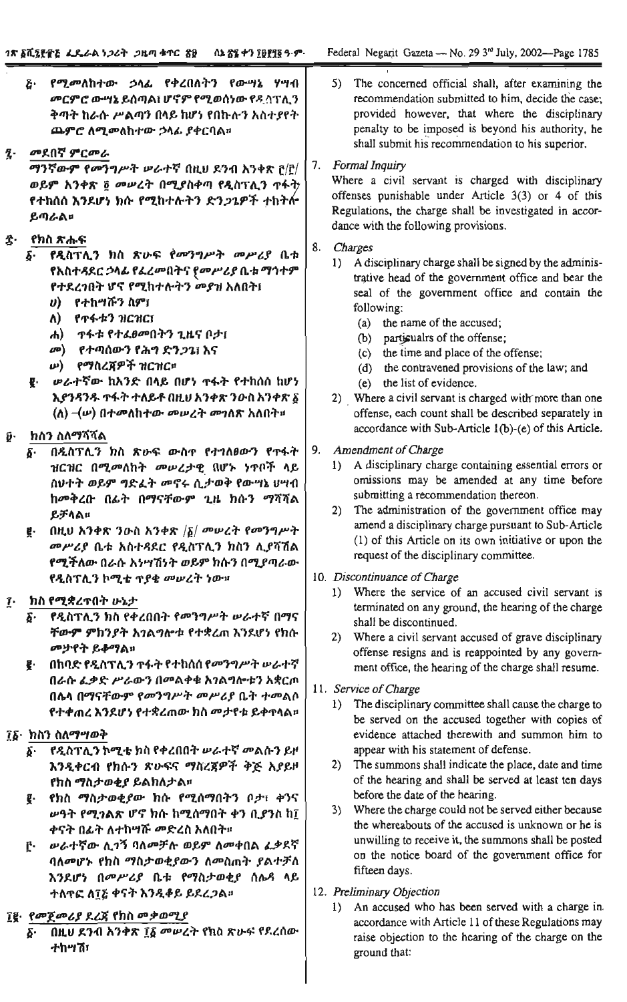ተከሣሽ፣

የሚመለከተው ኃላፊ የቀረበለትን የውሣኔ ሃሣብ 5) The concerned official shall, after examining the  $\boldsymbol{\tilde{c}}$  . *መርምሮ* ውሣኔ ይሰጣል፤ ሆኖም የሚወሰነው የዲሳፕሊን recommendation submitted to him, decide the case; ቅጣት ከራሱ ሥልጣን በላይ ከሆነ የበኩሉን አስተያየት provided however, that where the disciplinary penalty to be imposed is beyond his authority, he ጨምሮ ለሚመለከተው ኃላፊ ያቀርባል። shall submit his recommendation to his superior. <u>ዷ</u>· መደበኛ ምርመራ 7. Formal Inquiry ማንኛውም የመንግሥት ሥራተኛ በዚህ ደንብ እንቀጽ ը/ը/ Where a civil servant is charged with disciplinary ወይም እንቀጽ ፬ መሥረት በሚያስቀጣ የዲስፕሊን ጥፋት offenses punishable under Article 3(3) or 4 of this የተከሰሰ እንደሆነ ክሱ የሚከተሉትን ድን*ጋጌዎች ተ*ከትሎ Regulations, the charge shall be investigated in accor-ይጣራል። dance with the following provisions. የክስ ጽሑፍ ድ· 8. Charges & የዲስፐሊን ክስ ጽሁፍ የመንግሥት መሥሪያ ቤቱ 1) A disciplinary charge shall be signed by the adminis-የአስተዳደር ኃላፊ የፌረምበትና የመሥሪያ ቤቱ ማኅተም trative head of the government office and bear the የተደረገበት ሆኖ የሚከተሉትን መያዝ አለበት፤ seal of the government office and contain the  $v$ ) የተከሣሹን ስም $i$ following:  $A)$   $f$ T $f$  $f$  $f$  $f$  $f$  $f$  $f$  $f$  $f$  $f$  $f$ (a) the name of the accused: ሐ) ዋፋቱ የተፈፀመበትን ጊዜና ቦታ፤ (b) particualrs of the offense; መ) የተጣሰውን የሕግ ድንጋጌ፣ እና (c) the time and place of the offense; **ω)** የማስረጀዎች ዝርዝር¤ (d) the contravened provisions of the law; and **፪ ወራተኛው ከአንድ በላይ በሆነ ተፋት የተከሰሰ ከሆነ** (e) the list of evidence. ኢኖንዳንዱ ዮፋት ተለይቶ በዚሀ አንቀጽ ንዑስ አንቀጽ δ 2) Where a civil servant is charged with more than one (Λ) - (ω) በተመለከተው መሠረት መገለጽ አለበት። offense, each count shall be described separately in accordance with Sub-Article 1(b)-(e) of this Article.  $\boldsymbol{\tilde{y}}$ . ክስን ስለማሻሻል 9. Amendment of Charge δ· በዲስፕሊን ከስ ጽሁፍ ውስዋ የተገለፀውን የጥፋት 1) A disciplinary charge containing essential errors or ዝርዝር በሚመለከት መሠረታዊ በሆኑ ነጥቦች ላይ omissions may be amended at any time before ስህተት ወይም ግድፈት መኖሩ ሲታወቅ የውሣኔ ሀሣብ submitting a recommendation thereon. ከመቅረቡ በፊት በማናቸውም ጊዜ ክሱን ማሻሻል 2) The administration of the government office may ይቻላል። amend a disciplinary charge pursuant to Sub-Article **፪· በዚህ እንቀጽ ን**ዑስ አንቀጽ / $\delta$ / መሠረት የመንግሥት (1) of this Article on its own initiative or upon the መሥሪያ ቤቱ አስተጻደር የዲስፕሊን ክስን ሊያሻሽል request of the disciplinary committee. የሚችለው በራሱ እንሣሽነት ወይም ክሱን በማያጣራው የዲስፕሊን ኮሚቴ ጥያቄ መሠረት ነው። 10. Discontinuance of Charge 1) Where the service of an accused civil servant is ክስ የሚቋረጥበት ሁኔታ  $\tau \cdot$ terminated on any ground, the hearing of the charge የዲስፕሊን ክስ የቀረበበት የመንግሥት ሠራተኛ በማና δ. shall be discontinued. ቸውም ምክንያት እንልግሎቱ የተቋረጠ እንደሆነ የክሱ 2) Where a civil servant accused of grave disciplinary መታየት ይቆማል። offense resigns and is reappointed by any govern-በከባድ የዲስፕሊን ተፋት የተከሰሰ የመንግሥት ሠራተኛ  $\overline{\mathbf{e}}$  . ment office, the hearing of the charge shall resume. በራሱ ፌቃድ ሥራውን በመልቀቁ እንልግሎቱን አቋርጦ 11. Service of Charge በሴላ በማናቸውም የመንግሥት መሥሪያ ቤት ተመልሶ 1) The disciplinary committee shall cause the charge to የተቀጠረ እንደሆነ የተቋረጠው ክስ መታየቱ ይቀጥላል። be served on the accused together with copies of ፲፩· ክስን ስለማሣወቅ evidence attached therewith and summon him to የዲስፕሊን ኮሚቴ ክስ የቀረበበት ሠራተኛ መልሱን ይዞ appear with his statement of defense. δ. እንዲቀርብ የከሱን ጽሁፍና ማስረጀዎች ቅጅ እያይዞ The summons shall indicate the place, date and time  $2)$ of the hearing and shall be served at least ten days የክስ ማስታወቂያ ይልክለታል። before the date of the hearing. ፪· የክስ ማስታወቂያው ክሱ የሚሰማበትን ቦታ፣ ቀንና 3) Where the charge could not be served either because ሥዓት የሚገልጽ ሆኖ ክሱ ከሚሰማበት ቀን ቢያንስ ከ፲ the whereabouts of the accused is unknown or he is ቀናት በፊት ለተከሣሹ መድረስ አለበት። unwilling to receive it, the summons shall be posted ሥራተኛው ሲገኝ ባለምቻሉ ወይም ለመቀበል ፈቃደኛ r. on the notice board of the government office for ባለመሆኑ የክስ ማስታወቂያውን ለመስጠት ያልተቻለ fifteen days. እንደሆነ በመሥሪያ ቤቱ የማስታወቂያ ሰሌዳ ላይ 12. Preliminary Objection ተለዋፎ ለ፲ፘ ቀናት እንዲቆይ ይደረጋል። 1) An accused who has been served with a charge in. ፲፪· የመጀመሪያ ደረጃ የክስ መቃወሚያ accordance with Article 11 of these Regulations may በዚሀ ደንብ አንቀጽ ፲፩ መሠረት የክስ ጽሁፍ የደረሰው δ. raise objection to the hearing of the charge on the

ground that: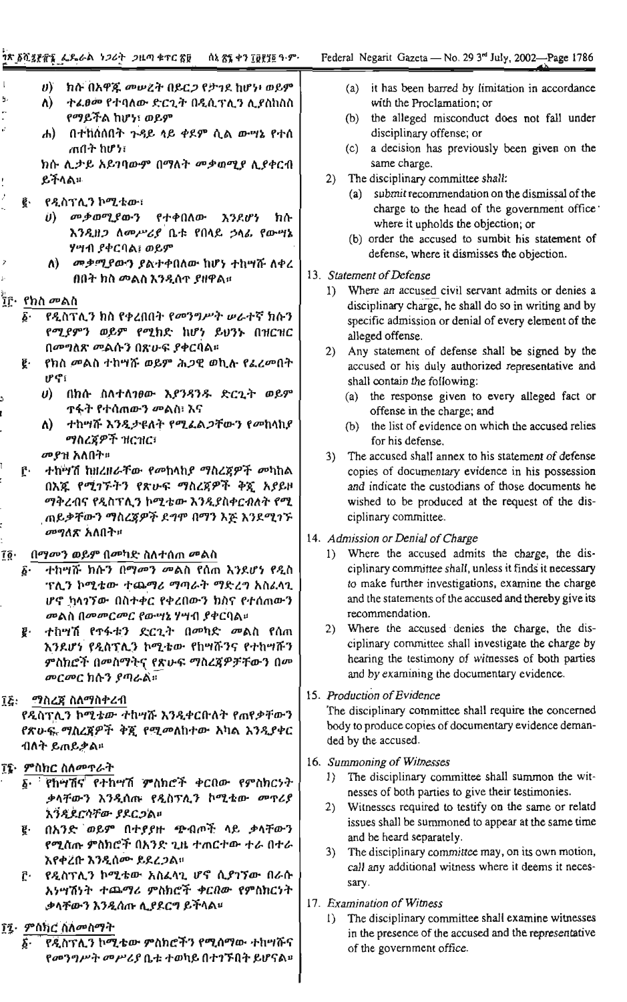|              |             | 18 ፩ሺ፯፻፹፮ ፌዴራል <i>ነጋሪት ጋዜጣ</i> ቁኖር <u>ኛ</u> ፱ ፡ ሰኔ <u>ኛ</u> ፮ ቀን ፲፱፻፺፬ ዓ·ም·        | Fec                |
|--------------|-------------|------------------------------------------------------------------------------------|--------------------|
| $\mathbf{I}$ |             | ሀ) ከሱ በአዋጁ መሠረት በይር <i>ጋ</i> የታገደ ከሆነ፥ ወይም                                         |                    |
| 5,           |             | ለ)<br>ተፈፀመ የተባለው ድርጊት በዲሲፕሊን ሊያስከስስ                                                |                    |
|              |             | የማይችል ከሆነ፡ ወይም                                                                     |                    |
|              |             | በተከሰሰበት ጉዳይ ላይ ቀደም ሲል ውሣኔ የተሰ<br>$\mathbf{r}$<br>ጠበት ከሆነ፣                          |                    |
|              |             | ክሱ ሊታይ አይገባውም በማለት መቃወሚያ ሊያቀርብ                                                     |                    |
| ŗ            |             | ይችላል።                                                                              | 2)                 |
|              | ĝ.          | የዲስፕሊን ኮሚቴው፣                                                                       |                    |
|              |             | ሀ) መቃወሚያውን የተቀበለው እንደሆነ<br>ክሉ                                                      |                    |
|              |             | እንዲዘጋ ለመሥሪያ ቤቱ የበላይ ኃላፊ የውሣኔ                                                       |                    |
|              |             | ሃሣብ ያቀርባል፣ ወይም                                                                     |                    |
| 7            |             | ለ)<br><i>ሙቃሚያውን ያ</i> ልተቀበለው ከሆነ ተከሣሹ ለቀረ                                          |                    |
| ģ.           |             | በበት ከስ መልስ እንዲሰጥ ያዘዋል።                                                             | 13. S              |
|              |             | ፣<br>፲፫· <u>የክስ መልስ</u>                                                            | 1)                 |
|              | δ٠          | የዲስፕሊን ክስ የቀረበበት የመንግሥት ሠራተኛ ክሱን                                                   |                    |
|              |             | የሚያምን ወይም የሚክድ ከሆነ ይህንኑ በዝርዝር                                                      |                    |
|              |             | በመግለጽ መልሱን በጽሁፍ ያቀርባል።                                                             | 2)                 |
|              | ğ.          | የክስ መልስ ተከሣሹ ወይም ሕጋዊ ወኪሉ የፌረመበት                                                    |                    |
|              |             | ሆኖ፣                                                                                |                    |
|              |             | ሀ) በክሱ ስለተለነፀው እያንዳንዱ ድርጊት ወይም                                                     |                    |
|              |             | <u> ተፋት የተሰጠውን መልስ፣ እና</u>                                                         |                    |
|              |             | ተከሣሹ እንዲታዩለት የሚፈል <i>ጋቸ</i> ውን የ <i>መ</i> ከላከ <i>ያ</i><br>ለ)                       |                    |
|              |             | ማስረጀዎች ዝርዝር፣                                                                       |                    |
| ľ            |             | <i>መያ</i> ዝ አለበት።                                                                  | 3)                 |
|              | Ŀ٠          | _ተከሣሽ ከዘረዘራቸው <i>የመ</i> ከላከ <i>ያ ማስረጃዎች መ</i> ካከል                                  |                    |
|              |             | በእጁ የሚገኙትን የጽሁፍ ማስረጃዎች ቅጇ አያይዞ                                                     |                    |
|              |             | ማቅረብና የዲስፕሊን ኮሚቴው እንዲያስቀርብለት የሚ                                                    |                    |
|              |             | <sub>.</sub> ጠይቃቸውን ማስረ <mark>ጃዎ</mark> ች ደግሞ በማን እጅ እንደሚገኙ                        |                    |
|              |             | <i>መግ</i> ለጽ አለበት።                                                                 | 14. A              |
| ĨÔ∙          |             | በማመን ወይም በመካድ ስለተሰጠ መልስ                                                            | 1)                 |
|              | ĝ∙          | <i>ተከሣሹ ክሱን በማመን መ</i> ልስ የሰጠ እንዶሆ <i>ነ</i> የ <i>ዲ</i> ስ                           |                    |
|              |             | ፕሊን ኮሚቴው ተጨማሪ ማጣራት ማድረግ አስፈላጊ                                                      |                    |
|              |             | ሆኖ ካላንኘው በስተቀር የቀረበውን ክስና የተሰጠውን                                                   |                    |
|              |             | መልስ በመመርመር የውሣኔ ሃሣብ ያቀርባል።                                                         |                    |
|              |             | g ተከሣሽ የተፋቱን ድርጊት በመካድ መልስ የሰጠ                                                     | 2)                 |
|              |             | እንደሆነ የዲስፕሊን ኮሚቴው የከሣሹንና የተከሣሹን                                                    |                    |
|              |             | ምስከሮች በመስማትና የጽሁፍ ማስረኛዎቻቸውን በመ<br><i>መርመር</i> ክሱን ያጣራል።                            |                    |
|              |             |                                                                                    | $15.$ $P_1$        |
|              |             | ፲፭: <i>ማ</i> ስረኛ ስለማስቀረብ                                                           | T                  |
|              |             | የዲስፕሊን ኮሚቴው ተከሣሹ እንዲቀርቡለት የጠየቃቸውን                                                  | b                  |
|              |             | የጽሁ <del>ፍ ማስ</del> ረጀዎች ቅጀ የሚመስከተው አካል እንዲያቀር                                     | dε                 |
|              |             | ብለት ይጠይቃል።                                                                         |                    |
|              |             | ፲፪• <i>ም</i> ስክር ስለ <i>መ</i> ጥራት                                                   | 16. S <sub>0</sub> |
|              |             | <u>δ· የከማሽና የተከማሽ ምስክሮች ቀርበው የምስክርንት</u>                                           | 1)                 |
|              |             | ቃላቸውን እንዲሰጡ የዲስፕሊን ኮሚቴው መጥሪያ                                                       | 2)                 |
|              |             | እንዲደርሳቸው ያደርጋል።                                                                    |                    |
|              | $\vec{g}$ . | በአንድ ወይም በተያያዙ ጭብጦች ላይ ቃላቸውን                                                       |                    |
|              |             | የሚሰጡ ምስክሮች በአንድ ጊዜ ተጠርተው ተራ በተራ                                                    | 3)                 |
|              |             | እየቀረቡ እንዲሰሙ ይደረጋል።                                                                 |                    |
|              |             | <u>ף</u> የዲስፕሊን ኮሚቴው አስፈላጊ ሆኖ ሲ <i>ያገ</i> ኘው በራሱ<br>አነሣሽነት ተጨማሪ ምስክሮች ቀርበው የምስክርነት |                    |
|              |             | ቃላቸውን እንዲሰጡ ሊያደርግ ይችላል።                                                            | 17.E               |
|              |             |                                                                                    | $\left( \right)$   |
|              |             | ፲፯- ምስክር ስለመስማት                                                                    |                    |

የዲስፕሊን ኮሚቴው ምስክሮችን የሚሰማው ተከሣሹና δ. የመንግሥት መሥሪያ ቤቱ ተወካይ በተገኙበት ይሆናል።

- it has been barred by limitation in accordance  $(a)$ with the Proclamation; or
- the alleged misconduct does not fall under  $(b)$ disciplinary offense; or
- a decision has previously been given on the  $(c)$ same charge.
- The disciplinary committee shall:
	- (a) submit recommendation on the dismissal of the charge to the head of the government office. where it upholds the objection; or
	- (b) order the accused to sumbit his statement of defense, where it dismisses the objection.
- tatement of Defense
	- Where an accused civil servant admits or denies a disciplinary charge, he shall do so in writing and by specific admission or denial of every element of the alleged offense.
	- Any statement of defense shall be signed by the accused or his duly authorized representative and shall contain the following:
		- the response given to every alleged fact or  $(a)$ offense in the charge; and
		- the list of evidence on which the accused relies ውን ነ for his defense.
	- The accused shall annex to his statement of defense copies of documentary evidence in his possession and indicate the custodians of those documents he wished to be produced at the request of the disciplinary committee.
- dmission or Denial of Charge
	- Where the accused admits the charge, the disciplinary committee shall, unless it finds it necessary to make further investigations, examine the charge and the statements of the accused and thereby give its recommendation.
	- Where the accused denies the charge, the disciplinary committee shall investigate the charge by hearing the testimony of witnesses of both parties and by examining the documentary evidence.
- roduction of Evidence

he disciplinary committee shall require the concerned ody to produce copies of documentary evidence demaned by the accused.

- ummoning of Witnesses
	- The disciplinary committee shall summon the witnesses of both parties to give their testimonies.
	- Witnesses required to testify on the same or relatd issues shall be summoned to appear at the same time and be heard separately.
	- The disciplinary committee may, on its own motion, call any additional witness where it deems it necessary.
- xamination of Witness
	- The disciplinary committee shall examine witnesses in the presence of the accused and the representative of the government office.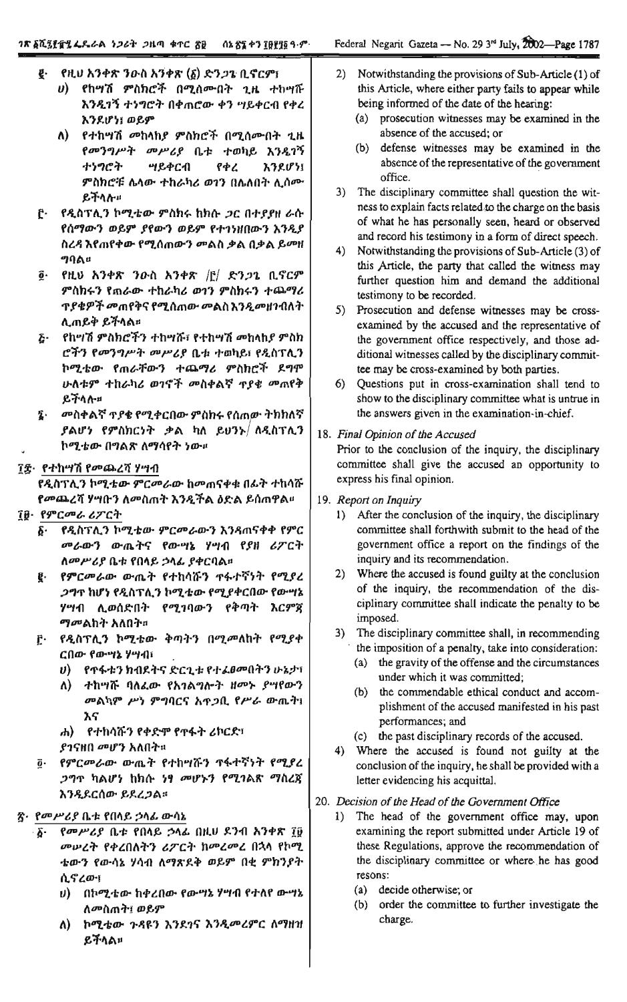- g· የዚህ አንቀጽ ንውስ አንቀጽ (፩) ድን*ጋ*ጌ ቢኖርም፤
	- υ) የከሣሽ ምስክሮች በሚሰሙበት ጊዜ ተከሣሹ እንዲገኝ ተነግሮት በቀጠሮው ቀን ሣይቀርብ የቀረ እንደሆነ፤ ወይም
	- ለ) የተከሣሽ መከላከያ ምስክሮች በሚሰሙበት ጊዜ የመንግሥት መሥሪያ ቤቱ ተወካይ እንዲገኝ ተነግሮት የቀረ አንደሆነ፤ ምስክሮቹ ሌላው ተከራካሪ ወገን በሌለበት ሊሰሙ ይችላሉ።
- <u>ሮ· የዲስፕሊን ኮሚቴው ምስክሩ ከክሱ ጋር በተያያዘ ራሱ</u> የሰማውን ወይም ያየውን ወይም የተገነዘበውን እንዲያ ስረዳ እየጠየቀው የሚሰጠውን መልስ ቃል በቃል ይመዘ ግባል።
- ፬· የዚህ አንቀጽ ንውስ አንቀጽ /፫/ ድን*ጋጌ* ቢኖርም ምስክሩን የጠራው ተከራካሪ ወገን ምስክሩን ተጨማሪ **ጥያቄዎች መጠየቅና የሚሰጠው መልስ እንዲመዘገብለት** ሊጠይቅ ይችላል።
- <u>& የከሣሽ ምስክሮችን ተከሣሹ፣ የተከሣሽ መከላከያ ምስክ</u> ሮችን የመንግሥት መሥሪያ ቤቱ ተወካይ፣ የዲስፕሊን ኮሚቴው የጠራቸውን ተጨማሪ ምስክሮች ደግሞ ሁለቱም ተከራካሪ ወገኖች መስቀልኛ ጥያቄ መጠየቅ ይችላሉ።
- መስቀልኛ ጥያቄ የሚቀርበው ምስከሩ የሰጠው ትክክለኛ 至. *ያልሆነ የምስክርነት ቃ*ል ካለ ይህንኑ/ ለዲስፕሊን ኮሚቴው በግልጽ ለማሳየት ነው።

# ፲<del>፰</del>፦ የተከሣሽ የመጨረሻ ሃሣብ

የዲስፕሊን ኮሚቴው ምርመራው ከመጠናቀቁ በፊት ተከሳሹ *የመ*ጨረሻ ሃሣቡን ለመስጠት እንዲችል ዕድል ይሰጠዋል።

- **70 የምርመራ ሪፖርት** 
	- የዲስፕሊን ኮሚቴው ምርመራውን እንዳጠናቀቀ የምር δ∙ መራውን ውጤትና የውሣኔ ሃሣብ የያዘ ሪፖርት ለመሥሪያ ቤቱ የበላይ ኃላፊ ያቀርባል።
	- የምርመራው ውጤት የተከሳሹን ጥፋተኛነት የሚያረ g. *ጋግ*ጥ ከሆነ የዲስፕሲን ኮሚቴው የሚያቀርበው የውሣኔ ሃሣብ ሊወሰድበት የሚገባውን የቅጣት እርምጀ *ማመ*ልከት አለበት።
	- *የዲ*ስፕሊን ኮሚቴው ቅጣትን በሚመለከት የሚያቀ  $\mathbf{r}$ . ርበው የውሣኔ ሃሣብ፣
		- U) የጥፋቱን ክብደትና ድርጊቱ የተፈፀመበትን ሁኔታ፣
		- ተከሣሹ ባለፌው የአንልግሎት ዘመኑ ያሣየውን ለ) መልካም ሥነ ምግባርና አጥጋቢ የሥራ ውጤት፤ እና
		- ሐ) የተከሳሹን የቀድም የዋፋት ሪኮርድ፣
		- *ያኀና*ዘበ መሆን አለበት።
	- የምርመራው ውጤት የተከሣሹን ጥፋተኛነት የሚያረ  $\overline{0}$ . *ጋግ*ጥ ካልሆነ ከክሱ *ነዓ መ*ሆኑን የሚገልጽ *ማ*ስረጀ እንዲደርሰው ይደረጋል።

# ኛ· የመሥሪያ ቤቱ የበላይ ኃላፊ ውሳኔ

- የመሥሪያ ቤቱ የበላይ ኃላፊ በዚህ ደንብ አንቀጽ 70 δ-መሠረት የቀረበለትን ሪፖርት ከመረመረ በኋላ የኮሚ ቴውን የውሳኔ ሃሳብ ለማጽደቅ ወይም በቂ ምክንያት ሲኖረው፣
	- ሀ) በኮሚቴው ከቀረበው የውሣኔ ሃሣብ የተለየ ውሣኔ ለመስጠት፤ ወይም
	- ለ) ኮሚቴው ጉዳዩን እንደንና እንዲመረምር ለማዘዝ ይችላል።
- $2)$ Notwithstanding the provisions of Sub-Article (1) of this Article, where either party fails to appear while being informed of the date of the hearing:
	- (a) prosecution witnesses may be examined in the absence of the accused; or
	- (b) defense witnesses may be examined in the absence of the representative of the government office.
- 3) The disciplinary committee shall question the witness to explain facts related to the charge on the basis of what he has personally seen, heard or observed and record his testimony in a form of direct speech.
- 4) Notwithstanding the provisions of Sub-Article (3) of this Article, the party that called the witness may further question him and demand the additional testimony to be recorded.
- $5)$ Prosecution and defense witnesses may be crossexamined by the accused and the representative of the government office respectively, and those additional witnesses called by the disciplinary committee may be cross-examined by both parties.
- $6)$ Questions put in cross-examination shall tend to show to the disciplinary committee what is untrue in the answers given in the examination-in-chief.

# 18. Final Opinion of the Accused

Prior to the conclusion of the inquiry, the disciplinary committee shall give the accused an opportunity to express his final opinion.

- 19. Report on Inquiry
	- 1) After the conclusion of the inquiry, the disciplinary committee shall forthwith submit to the head of the government office a report on the findings of the inquiry and its recommendation.
	- $2)$ Where the accused is found guilty at the conclusion of the inquiry, the recommendation of the disciplinary committee shall indicate the penalty to be imposed.
	- 3) The disciplinary committee shall, in recommending the imposition of a penalty, take into consideration:
		- (a) the gravity of the offense and the circumstances under which it was committed;
		- (b) the commendable ethical conduct and accomplishment of the accused manifested in his past performances; and
		- (c) the past disciplinary records of the accused.
	- 4) Where the accused is found not guilty at the conclusion of the inquiry, he shall be provided with a letter evidencing his acquittal.

# 20. Decision of the Head of the Government Office

- $1)$ The head of the government office may, upon examining the report submitted under Article 19 of these Regulations, approve the recommendation of the disciplinary committee or where he has good resons:
	- (a) decide otherwise; or
	- (b) order the committee to further investigate the charge.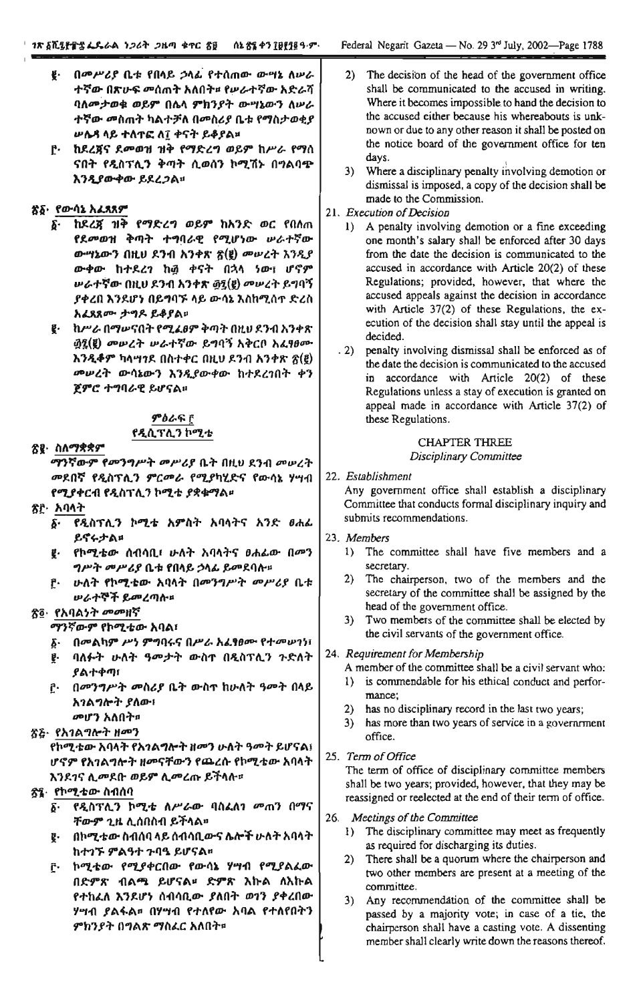- በመሥሪያ ቤቱ የበላይ ኃላፊ የተሰጠው ውሣኔ ለሥራ E. ተኛው በጽሁፍ መሰጠት አለበት። የሥራተኛው አድራሻ ባለመታወቁ ወይም በሌላ ምክንያት ውሣኔውን ለሥራ ተኛው መስጠት ካልተቻለ በመስሪያ ቤቱ የማስታወቂያ ሥሴዳ ላይ ተለተፎ ለ፣ ቀናት ይቆያል።
- <u>ሮ ከደረጀና ደምወዝ ዝቅ የማድረግ ወይም ከሥራ የማሰ</u> ናበት የዲስፕሊን ቅጣት ሲወሰን ኮሚሽኑ በግልባጭ እንዲያውቀው ይደረጋል።

## ጽδ የውሳኔ አፈጻጸም

- δ ከደረጃ ዝቅ የማድረግ ወይም ከአንድ ወር የበለጠ የደመወዝ ቅጣት ተግባራዊ የሚሆነው ሥራተኛው ውሣኔውን በዚሀ ደንብ አንቀጽ ጽ(፪) መሠረት እንዲያ ውቀው ከተደረን ከ፴ ቀናት በኋላ ነው፣ ሆኖም ሥራተኛው በዚሀ ደንብ አንቀጽ ፴፯(፪) መሥረት ይግባኝ ያቀረበ እንደሆነ በይግባኙ ላይ ውሳኔ አስከሚሰጥ ድረስ አፈጻጸሙ ታግዶ ይቆያል።
- **፪· ከሥራ በማሥናበት የሚፈፀም ቅጣት በዚህ ደንብ አንቀጽ @{(ë) መሠረት ሠራተኛው ይግባኝ አቅርቦ አፈፃፀሙ** እንዲቆም ካላሣንደ በስተቀር በዚህ ደንብ አንቀጽ ጽ(፪) መሠረት ውሳኔውን እንዲያውቀው ከተደረገበት ቀን ጀምሮ ተግባራዊ ይሆናል።

## ምዕራፍ ፫ የዲሲፕሊን ኮሚቴ

#### ጽዩ- ስለማቋቋም

ማንኛውም የመንግሥት መሥሪያ ቤት በዚህ ደንብ መሠረት መደበኛ የዲስፕሊን ምርመራ የሚያካሂድና የውሳኔ ሃሣብ የሚያቀርብ የዲስፕሊን ኮሚቴ ያቋቁማል።

- ጽድ አባላት
	- የዲስፕሊን ኮሚቴ አምስት አባላትና አንድ ፀሐፊ δ. ይኖሩታል።
	- g. የኮሚቴው ሰብሳቢ፣ ሁለት አባላትና ፀሐፊው በ*መ*ን *ግሥት መሥሪያ* ቤቱ የበላይ ኃላፊ ይመደባሉ።
	- f· ሁለት የኮሚቴው አባላት በመንግሥት መሥሪያ ቤቱ **ሠራተኞች ይመረ**ጣሎ¤

## ጽ፬· የአባልነት መመዘኛ

ማንኛውም የኮሚቴው አባል፣

- በመልካም ሥነ ምግባሩና በሥራ አፈፃፀሙ የተመሠገነ፣ δ∙
- ባለፉት ሁለት ዓመታት ውስተ በዲስፕሊን ጉድለት Ų. ያልተቀጣ
- <u>ሮ· በመንግሥት መስሪያ ቤት ውስጥ ከሁለት ዓመት በላይ</u> አንልግሎት ያለው፣
- መሆን አለበት። ጽ&- የአገልግሎት ዘመን

የኮሚቴው አባላት የአንልግሎት ዘመን ሁለት ዓመት ይሆናል፤ ሆኖም የአገልግሎት ዘመናቸውን የጨረሱ የኮሚቴው አባላት እንደ*ገ*ና ሲመደቡ ወይም ሊመረጡ ይችላሉ።

## ጽ፤ የኮሚቴው ስብሰባ

- የዲስፕሊን ኮሚቴ ለሥራው ባስፈለን መጠን በማና δ. *ቸውም ጊዜ* ሊሰበስብ ይችላል።
- g በኮሚቴው ስብሰባ ላይ ሰብሳቢ*ውና ሌ*ሎች ሁለት አባላት ከተገኙ ምልዓተ ጉባዔ ይሆናል።
- ቮ ኮሚቴው የሚያቀርበው የውሳኔ ሃሣብ የሚያልፈው በድምጽ ብልጫ ይሆናል። ድምጽ እኩል ለእኩል የተከፈለ እንደሆነ ሰብሳቢው ያለበት ወገን ያቀረበው ሃሣብ ያልፋል። በሃሣብ የተለየው አባል የተለየበትን ምክንያት በግልጽ ማስፌር አለበት፣
- $2)$ The decision of the head of the government office shall be communicated to the accused in writing. Where it becomes impossible to hand the decision to the accused either because his whereabouts is unknown or due to any other reason it shall be posted on the notice board of the government office for ten davs.
- 3) Where a disciplinary penalty involving demotion or dismissal is imposed, a copy of the decision shall be made to the Commission.

# 21. Execution of Decision

- 1) A penalty involving demotion or a fine exceeding one month's salary shall be enforced after 30 days from the date the decision is communicated to the accused in accordance with Article 20(2) of these Regulations; provided, however, that where the accused appeals against the decision in accordance with Article 37(2) of these Regulations, the execution of the decision shall stay until the appeal is decided.
- penalty involving dismissal shall be enforced as of  $(2)$ the date the decision is communicated to the accused in accordance with Article 20(2) of these Regulations unless a stay of execution is granted on appeal made in accordance with Article 37(2) of these Regulations.

# **CHAPTER THREE**

#### Disciplinary Committee

22. Establishment

Any government office shall establish a disciplinary Committee that conducts formal disciplinary inquiry and submits recommendations.

#### 23. Members

- 1) The committee shall have five members and a secretary.
- 2) The chairperson, two of the members and the secretary of the committee shall be assigned by the head of the government office.
- 3) Two members of the committee shall be elected by the civil servants of the government office.

#### 24. Requirement for Membership

A member of the committee shall be a civil servant who:

- 1) is commendable for his ethical conduct and performance:
- has no disciplinary record in the last two years;  $2)$
- 3) has more than two years of service in a government office.

#### 25. Term of Office

The term of office of disciplinary committee members shall be two years; provided, however, that they may be reassigned or reelected at the end of their term of office.

- Meetings of the Committee 26.
	- 1) The disciplinary committee may meet as frequently as required for discharging its duties.
	- 2) There shall be a quorum where the chairperson and two other members are present at a meeting of the committee.
	- 3) Any recommendation of the committee shall be passed by a majority vote; in case of a tie, the chairperson shall have a casting vote. A dissenting member shall clearly write down the reasons thereof.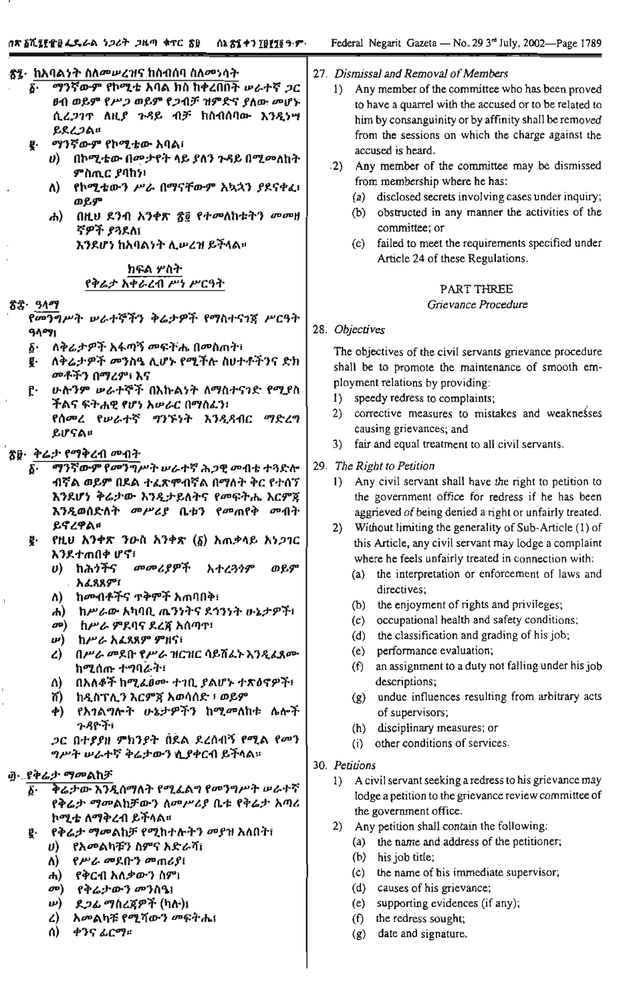$\mathsf{I}$ 

 $\mathbf{I}$ í,

| <i>ቼ</i> ፯· ከአባል <i>ነት</i> ስለ <i>ሙሠረዝና ከስብሰ</i> ባ ስለ <i>ሙነሳት</i><br>ማንኛውም የኮሚቴ እባል ክስ ከቀረበበት ሥራተኛ ጋር<br>δ.<br>ፀብ ወይም የሥ <i>ጋ</i> ወይም የ <i>ጋ</i> ብቻ ዝምድና ያለው መሆኑ<br>ሲረ <i>ጋገ</i> ጥ ለዚ <i>ያ ጉዳ</i> ይ ብቻ ከስብሰባው እንዲነሣ<br>ይደረጋል።<br>ማንኛውም የኮሚቴው አባል፣<br>g.<br>በኮሚቴው በመታየት ላይ ያለን ጉዳይ በሚመለከት<br>U)<br>ምስጢር ያባከነ፣<br>ለ) የኮሚቴውን ሥራ በማናቸውም አኳኋን ያደናቀፊ፣<br>ወይም<br>ሐ) በዚሀ ደንብ አንቀጽ ፳፬ የተመለከቱትን መመዘ<br>ኛዎች ያጓደለ፤<br>እንደሆነ ከአባልነት ሊሥረዝ ይችላል።<br>ክፍል ሦስት<br>የቅሬታ አቀራረብ ሥነ ሥርዓት                                                                                                                                                                          | 27. Dismissal and Removal of Members<br>Any member of the committee who has been proved<br>1)<br>to have a quarrel with the accused or to be related to<br>him by consanguinity or by affinity shall be removed<br>from the sessions on which the charge against the<br>accused is heard.<br>$-2)$<br>Any member of the committee may be dismissed<br>from membership where he has:<br>(a) disclosed secrets involving cases under inquiry;<br>obstructed in any manner the activities of the<br>(b)<br>committee; or<br>(c) failed to meet the requirements specified under<br>Article 24 of these Regulations.                                                                                                            |  |  |
|--------------------------------------------------------------------------------------------------------------------------------------------------------------------------------------------------------------------------------------------------------------------------------------------------------------------------------------------------------------------------------------------------------------------------------------------------------------------------------------------------------------------------------------------------------------------------------------------------------------------------------------------|-----------------------------------------------------------------------------------------------------------------------------------------------------------------------------------------------------------------------------------------------------------------------------------------------------------------------------------------------------------------------------------------------------------------------------------------------------------------------------------------------------------------------------------------------------------------------------------------------------------------------------------------------------------------------------------------------------------------------------|--|--|
|                                                                                                                                                                                                                                                                                                                                                                                                                                                                                                                                                                                                                                            | PART THREE                                                                                                                                                                                                                                                                                                                                                                                                                                                                                                                                                                                                                                                                                                                  |  |  |
| <u>ጽ</u> ፰· ዓላማ<br>የመንግሥት ሠራተኞችን ቅሬታዎች የማስተናንኛ ሥርዓት<br>ዓላማነ                                                                                                                                                                                                                                                                                                                                                                                                                                                                                                                                                                                | Grievance Procedure<br>28. Objectives                                                                                                                                                                                                                                                                                                                                                                                                                                                                                                                                                                                                                                                                                       |  |  |
| ለቅሬታዎች አፋጣኝ <b>መፍትሔ በመስ</b> ጠት፣<br>δ٠<br>ለቅሬታዎች መንስዔ ሊሆኑ የሚችሉ ስሀተቶችንና ድክ<br>ę.<br>መቶችን በማረም፣ እና<br><u>ሁ</u> ሎንም ሥራተኛች በእኩልነት ለማስተናገድ የሚያስ<br>ŕ٠<br>ችልና ፍትሐዊ የሆነ አሥራር በማስፈን፣<br>የሰመረ የሠራተኛ ግንኙነት እንዲጻብር ማድረግ<br>ይሆናል።                                                                                                                                                                                                                                                                                                                                                                                                                       | The objectives of the civil servants grievance procedure<br>shall be to promote the maintenance of smooth em-<br>ployment relations by providing:<br>1) speedy redress to complaints;<br>corrective measures to mistakes and weaknesses<br>(2)<br>causing grievances; and<br>3)<br>fair and equal treatment to all civil servants.                                                                                                                                                                                                                                                                                                                                                                                          |  |  |
| <u>ጽ፱· ቅሬታ የማቅረብ መብት</u><br>ማንኛውም የመንግሥት ሠራተኛ ሕጋዊ መብቴ ተጓድሎ<br>δ.<br>ብኛል ወይም በደል ተፈጽምብኛል በማለት ቅር የተሰኘ<br>እንደሆነ ቅሬታው እንዲታይለትና የመፍትሔ እርምጀ<br>እንዲወሰድለት <i>መሥሪያ</i> ቤቱን የመጠየቅ መብት<br>ይኖረዋል።<br>_ የዚሀ አንቀጽ <i>ጉ</i> ዑስ አንቀጽ (፩) አጠቃላይ አነ <i>ጋገ</i> ር<br>g.<br>እንደተጠበቀ ሆኖ፣<br><i>ህ</i> ) ከሕ <i>ጎችና መመሪያዎች</i> አተረ <del>3</del> ጎም<br>ወይም<br>አፈጻጸም፣<br>ከሙብቶችና ጥቅሞች አጠባበቅ፣<br>ለ)<br>ከሥራው አካባቢ ጤንነትና ደኅንነት ሁኔታዎች፣<br>$\boldsymbol{H}$<br>ከሥራ ምደባና ደረጃ አሰጣጥ<br>$\sigma$ <sup>o</sup> )<br>υ•)<br>ከሥራ አፈጻጸም ምዘና፣<br>በሥራ መደቡ የሥራ ዝርዝር ሳይሽፈኑ እንዲፈጸሙ<br>$\mathbf{Z}$                                                                                      | 29. The Right to Petition<br>Any civil servant shall have the right to petition to<br>1)<br>the government office for redress if he has been<br>aggrieved of being denied a right or unfairly treated.<br>Without limiting the generality of Sub-Article (1) of<br>2)<br>this Article, any civil servant may lodge a complaint<br>where he feels unfairly treated in connection with:<br>the interpretation or enforcement of laws and<br>(a)<br>directives;<br>the enjoyment of rights and privileges;<br>(b)<br>occupational health and safety conditions;<br>(c)<br>(d)<br>the classification and grading of his job;<br>performance evaluation;<br>(e)                                                                  |  |  |
| ከሚሰጡ ተግባራት፣<br>በአለቆች ከሚፈፀሙ ተገቢ ያልሆኑ ተጽዕኖዎች፣<br>ለ)<br>ሽ)<br>ከዲስፕሊን እርምጃ አወሳሰድ ፣ ወይም<br>የአንልግሎት ሁኔታዎችን ከሚመለከቱ ሴሎች<br>$\phi$<br>ጉዳዮች፣<br><i>ጋ</i> ር በተያያዘ ምክንያት በደል ደረሰብኝ የሚል የመን<br><i>ግሥት ሠራተኘ ቅሬታውን</i> ሲያቀርብ ይችላል፡፡<br>፴∙_ዩቅሬ <i>ታ ማጮ</i> ልከቻ<br>ቅሬታው እንዲሰማለት የሚፌልግ የመንግሥት ሠራተኛ<br>$\delta$ .<br>የቅሬታ ማመልከቻውን ለመሥሪያ ቤቱ የቅሬታ አጣሪ<br>ኮሚቴ ለማቅረብ ይችላል።<br>የቅሬታ ማመልከቻ የሚከተሉትን መያዝ አለበት፣<br>g.<br>የአመልካቹን ስምና አድራሻ፤<br>$\boldsymbol{\upsilon}$<br>የሥራ መደቡን መጠሪያ፤<br>Λ)<br>የቅርብ አለቃውን ስምi<br>$\mathbf{d}$<br>የቅሬታውን መንስዔ፤<br>$\sigma$ <sup>o</sup> )<br>_ደ <i>ጋፊ ማስረጃዎች (</i> ካሉ)፤<br>ω)<br>አመልካቹ የሚሻውን መፍትሔ፤<br>$\mathcal{L}$<br>ቀንና ፊርማ።<br>ሰ) | an assignment to a duty not falling under his job<br>(f)<br>descriptions;<br>undue influences resulting from arbitrary acts<br>(g)<br>of supervisors;<br>disciplinary measures; or<br>(h)<br>other conditions of services.<br>(i)<br>30. Petitions<br>A civil servant seeking a redress to his grievance may<br>1)<br>lodge a petition to the grievance review committee of<br>the government office.<br>Any petition shall contain the following:<br>2)<br>the name and address of the petitioner;<br>(a)<br>his job title;<br>(b)<br>the name of his immediate supervisor;<br>(c)<br>(d)<br>causes of his grievance;<br>supporting evidences (if any);<br>(e)<br>the redress sought;<br>(f)<br>date and signature.<br>(g) |  |  |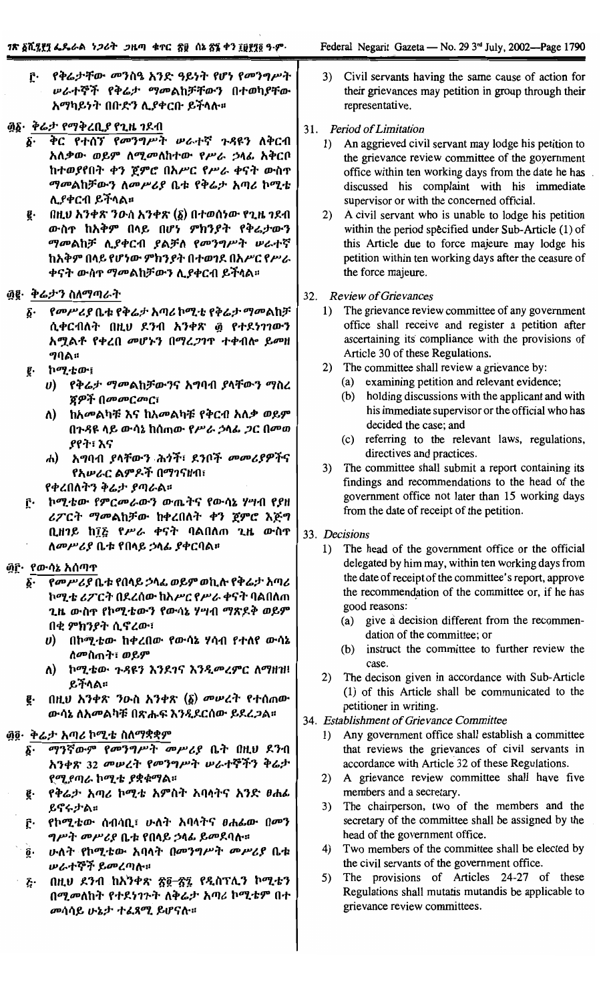የቅሬታቸው መንስዔ አንድ ዓይነት የሆነ የመንግሥት Ĉ٠ **ሥራተኞች የቅሬታ ማመልከቻቸውን በተወካያቸው** አማካይነት በቡድን ሊያቀርቡ ይችላሉ።

#### ፴፩· ቅሬ*ታ የማቅረቢያ* የጊዜ ገደብ

- ቅር የተሰኘ የመንግሥት ሠራተኛ ጉዳዩን ለቅርብ δ. አለቃው ወይም ለሚመለከተው የሥራ ኃላፊ አቅርቦ ከተወያየበት ቀን ጀምሮ በአሥር የሥራ ቀናት ውስጥ ማመልከቻውን ለመሥሪያ ቤቱ የቅሬታ አጣሪ ኮሚቴ ሊያቀርብ ይችላል።
- $\mathfrak{g}$  በዚህ አንቀጽ ንውስ አንቀጽ  $(\mathfrak{g})$  በተወሰነው የጊዜ ንደብ ĝ. ውስዋ ከአቅም በላይ በሆነ ምክንያት የቅሬታውን ማመልከቻ ሊያቀርብ ያልቻለ የመንግሥት ሠራተኛ ከአቅም በላይ የሆነው ምክንያት በተወንደ በአሥር የሥራ ቀናት ውስ**ኖ** *ማመ***ልከቻውን ሊያቀርብ ይ**ችላል፡፡

#### ፴፪· ቅሬታን ስለማጣራት

- δ· የመሥሪያ ቤቱ የቅሬታ አጣሪ ኮሚቴ የቅሬታ ማመልከቻ ሲቀርብለት በዚህ ደንብ አንቀጽ ፴ የተደነገገውን አሟልቶ የቀረበ መሆኑን በማረጋገጥ ተቀብሎ ይመዘ ግባል።
- **ከሚቴው**፤ ę.
	- የቅሬታ ማመልከቻውንና አግባብ ያላቸውን ማስረ  $\boldsymbol{\theta}$ ጀዎች በመመርመር፣
	- ከአመልካቹ እና ከአመልካቹ የቅርብ አለቃ ወይም ለ) በጉዳዩ ላይ ውሳኔ ከሰጠው የሥራ ኃላፊ *ጋ*ር በመወ ያየት፣ እና
	- ሐ) አግባብ ያላቸውን ሕጎች፣ ደንቦች መመሪያዎችና የአሥራር ልምዶች በማገናዘብ፣ የቀረበለትን ቅሬታ ያጣራል፡፡
- <u>ቮ· ኮሚቴው የምርመራውን ውጤትና የውሳኔ ሃሣብ የያዘ</u> ሪፖርት ማመልከቻው ከቀረበለት ቀን ጀምሮ እጅግ ቢዘገይ ከ7ਣ የሥራ ቀናት ባልበለጠ ጊዜ ውስዋ ለመሥሪያ ቤቱ የበላይ ኃላፊ ያቀርባል።

#### @ሮ· የውሳኔ አሰጣዋ

- *የመሥሪያ* ቤቱ የበላይ ኃላፊ ወይም ወኪሉ የቅሬታ አጣሪ δ. ኮሚቴ ሪፖርት በደረሰው ከአሥር የሥራ ቀናት ባልበለጠ ጊዜ ውስጥ የኮሚቴውን የውሳኔ ሃሣብ ማጽዶቅ ወይም በቂ ምክንያት ሲኖረው፣
	- በኮሚቴው ከቀረበው የውሳኔ ሃሳብ የተለየ ውሳኔ  $\boldsymbol{v}$ ለ**መስ**ጠት፣ ወይም
	- ለ) ኮሚቴው ጉዳዩን እንደገና እንዲመረምር ለማዘዝ! ይችላል።
- በዚህ አንቀጽ ንውስ አንቀጽ (δ) መሥረት የተሰጠው ę. ውሳኔ ለአመልካቹ በጽሑፍ እንዲደርሰው ይደረጋል።

## ፴፬· ቅሬታ አጣሪ ኮሚቴ ስለማቋቋም

- ማንኛውም የመንግሥት መሥሪያ ቤት በዚህ ደንብ δ٠ አንቀጽ 32 መሠረት የመንግሥት ሠራተኞችን ቅሬታ የሚያጣራ ኮሚቴ ያቋቁማል።
- የቅሬታ አጣሪ ኮሚቴ አምስት አባላትና አንድ ፀሐፊ g. ይኖሩታል።
- የኮሚቴው ሰብሳቢ፣ ሁለት አባላትና ፀሐፊው በመን Ĉ٠ ግሥት መሥሪያ ቤቱ የበላይ ኃላፊ ይመደባሉ።
- ሁለት የኮሚቴው አባላት በ*መንግሥት መሥሪያ* ቤቱ õ. **ሥራተኞች ይመረ**ጣሎ።
- በዚህ ደንብ ከአንቀጽ ጽ፬-ጽ፯ የዲስፕሊን ኮሚቴን  $\boldsymbol{\tilde{c}}$  . በሚመለከት የተደነገጉት ለቅሬታ አጣሪ ኮሚቴም በተ መሳሳይ ሁኔታ ተፈጻሚ ይሆናሉ።
- $3)$ Civil servants having the same cause of action for their grievances may petition in group through their representative.
- 31. Period of Limitation
	- 1) An aggrieved civil servant may lodge his petition to the grievance review committee of the government office within ten working days from the date he has discussed his complaint with his immediate supervisor or with the concerned official.
	- A civil servant who is unable to lodge his petition  $2)$ within the period specified under Sub-Article (1) of this Article due to force majeure may lodge his petition within ten working days after the ceasure of the force majeure.
- **Review of Grievances**  $32<sub>1</sub>$ 
	- 1) The grievance review committee of any government office shall receive and register a petition after ascertaining its compliance with the provisions of Article 30 of these Regulations.
	- 2) The committee shall review a grievance by:
		- examining petition and relevant evidence;  $(a)$
		- (b) holding discussions with the applicant and with his immediate supervisor or the official who has decided the case; and
		- (c) referring to the relevant laws, regulations, directives and practices.
	- 3) The committee shall submit a report containing its findings and recommendations to the head of the government office not later than 15 working days from the date of receipt of the petition.
- 33. Decisions
	- 1) The head of the government office or the official delegated by him may, within ten working days from the date of receipt of the committee's report, approve the recommendation of the committee or, if he has good reasons:
		- (a) give a decision different from the recommendation of the committee; or
		- (b) instruct the committee to further review the case.
	- 2) The decison given in accordance with Sub-Article (1) of this Article shall be communicated to the petitioner in writing.
- 34. Establishment of Grievance Committee
	- 1) Any government office shall establish a committee that reviews the grievances of civil servants in accordance with Article 32 of these Regulations.
	- 2) A grievance review committee shall have five members and a secretary.
	- 3) The chairperson, two of the members and the secretary of the committee shall be assigned by the head of the government office.
	- 4) Two members of the committee shall be elected by the civil servants of the government office.
	- 5) The provisions of Articles 24-27 of these Regulations shall mutatis mutandis be applicable to grievance review committees.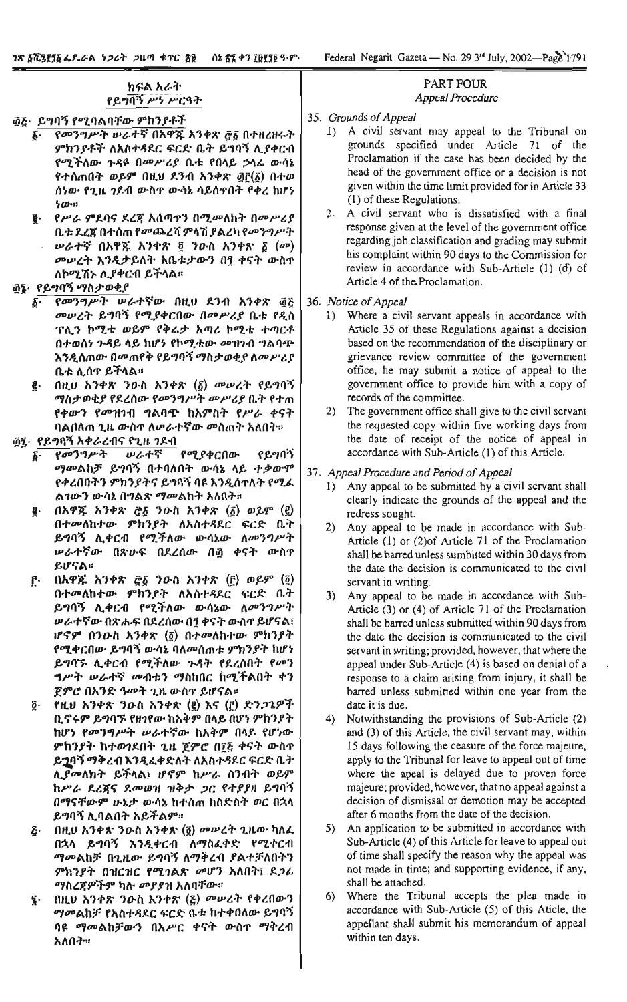| ገጽ ልዉ3ያገል ፌኤራል ገጋሪተ ጋቤጣ ቁጥር ሸያ<br>በኔ ፩፲ ዋን ፲፱፻፺፬ ኃ٠ሃ"                                                                                                                                                   | rederal Negarit Gazeta — NO. 29 3° July, 2002—Page 1/91                                                                                                                                                                                    |
|---------------------------------------------------------------------------------------------------------------------------------------------------------------------------------------------------------|--------------------------------------------------------------------------------------------------------------------------------------------------------------------------------------------------------------------------------------------|
| ክፍል አራት<br>የይግባኝ ሥነ ሥርዓት                                                                                                                                                                                | <b>PART FOUR</b><br>Appeal Procedure                                                                                                                                                                                                       |
| ፴ <u>፩</u> · ይግባኝ የሚባልባቸው ምክንያቶች                                                                                                                                                                        | 35. Grounds of Appeal                                                                                                                                                                                                                      |
|                                                                                                                                                                                                         | A civil servant may appeal to the Tribunal on<br>$\ket{1}$                                                                                                                                                                                 |
| የመንግሥት ሠራተኛ በአዋጁ አንቀጽ ፸፩ በተዘረዘሩት<br>$\delta$ .<br>ምክንያቶች ለአስተጻደር ፍርድ ቤት ይግባኝ ሊያቀርብ<br>የሚችለው ጉዳዩ በመሥሪያ ቤቱ የበላይ ኃላፊ ውሳኔ<br>የተሰጠበት ወይም በዚህ ደንብ አንቀጽ ፴፫(፩) በተወ<br>ሰነው የጊዜ ንደብ ውስዋ ውሳኔ ሳይሰኖበት የቀረ ከሆነ<br>ንው። | grounds specified under Article 71 of the<br>Proclamation if the case has been decided by the<br>head of the government office or a decision is not<br>given within the time limit provided for in Article 33<br>(1) of these Regulations. |
| የሥራ ምደባና ደረጀ አሰጣተን በሚመለከት በመሥሪያ<br>Ų.                                                                                                                                                                   | A civil servant who is dissatisfied with a final<br>2.                                                                                                                                                                                     |
| ቤቱ ደረጃ በተሰጠ የመጨረሻ ምሳሽ ያልረካ የመንግሥት<br>$\boldsymbol{\nu}$ ራተኛ በአዋጁ አንቀጽ ፬ ንውስ አንቀጽ ፩ $(\sigma \boldsymbol{v})$<br>መሠረት እንዲታይለት አቤቱታውን በ፺ ቀናት ውስጥ                                                          | response given at the level of the government office<br>regarding job classification and grading may submit<br>his complaint within 90 days to the Commission for<br>review in accordance with Sub-Article (1) (d) of                      |
| ለኮሚሽኑ ሊያቀርብ ይችላል።                                                                                                                                                                                       | Article 4 of the Proclamation.                                                                                                                                                                                                             |
| <u>፴፯· የይግባኝ ማስታወቂያ</u>                                                                                                                                                                                 |                                                                                                                                                                                                                                            |
| የመንግሥት ሥራተኛው በዚሀ ደንብ አንቀጽ ፴፩<br>$\boldsymbol{\delta}$ .                                                                                                                                                 | 36. Notice of Appeal                                                                                                                                                                                                                       |
| መሥረት ይግባኝ የሚያቀርበው በመሥሪያ ቤቱ የዲስ                                                                                                                                                                          | Where a civil servant appeals in accordance with<br>$\mathbf{I}$                                                                                                                                                                           |
| ፕሊን ኮሚቴ ወይም የቅሬታ እጣሪ ኮሚቴ ተጣርቶ                                                                                                                                                                           | Article 35 of these Regulations against a decision                                                                                                                                                                                         |
| በተወሰነ ጉዳይ ላይ ከሆነ የኮሚቴው መዝንብ ግልባጭ                                                                                                                                                                        | based on the recommendation of the disciplinary or                                                                                                                                                                                         |
| እንዲሰጠው በመጠየቅ የይግባኝ ማስታወቂያ ለመሥሪያ                                                                                                                                                                         | grievance review committee of the government                                                                                                                                                                                               |
| ቤቱ ሊሰኖ ይችላል።                                                                                                                                                                                            | office, he may submit a notice of appeal to the                                                                                                                                                                                            |
|                                                                                                                                                                                                         |                                                                                                                                                                                                                                            |
| በዚሀ አንቀጽ ንዑስ አንቀጽ $(\underline{\delta})$ ሙሥረት የይግባኝ<br>ĝ.                                                                                                                                               | government office to provide him with a copy of                                                                                                                                                                                            |
| ማስታወቂያ የደረሰው የመንግሥት መሥሪያ ቤት የተጠ                                                                                                                                                                         | records of the committee.                                                                                                                                                                                                                  |
| የቀውን የመዝገብ ግልባጭ ከአምስት የሥራ ቀናት                                                                                                                                                                           | The government office shall give to the civil servant<br>2)                                                                                                                                                                                |
| ባልበለጠ ጊዜ ውስጥ ለሥራተኛው መስጠት አለበት።                                                                                                                                                                          | the requested copy within five working days from                                                                                                                                                                                           |
| ፴፯· የይግባኝ አቀራረብና የጊዜ ገዶብ                                                                                                                                                                                | the date of receipt of the notice of appeal in                                                                                                                                                                                             |
| <b><i>ሠራተኛ የሚያቀርበው</i></b><br>የመንግሥት<br>የይግባኝ<br>$\delta$ .                                                                                                                                             | accordance with Sub-Article (1) of this Article.                                                                                                                                                                                           |
| ማመልከቻ ይግባኝ በተባለበት ውሳኔ ላይ ተቃውሞ                                                                                                                                                                           | 37. Appeal Procedure and Period of Appeal                                                                                                                                                                                                  |
| የቀረበበትን ምክንያትና ይግባኝ ባዩ እንዲስተለት የሚፌ                                                                                                                                                                      | Any appeal to be submitted by a civil servant shall<br>$\left( \begin{array}{c} 1 \end{array} \right)$                                                                                                                                     |
| ል <i>ገውን ውሳኔ በግልጽ ማመ</i> ልከት አለበት።                                                                                                                                                                      | clearly indicate the grounds of the appeal and the                                                                                                                                                                                         |
| በአዋጁ አንቀጽ ፸፩ ንዑስ አንቀጽ (፩) ወይም (፪)<br>ğ.                                                                                                                                                                 | redress sought.                                                                                                                                                                                                                            |
| በተመለከተው ምክንያት ለአስተጻደር ፍርድ ቤት                                                                                                                                                                            | Any appeal to be made in accordance with Sub-<br>2)                                                                                                                                                                                        |
| ይግባኝ ሊቀርብ የሚችለው ውሳኔው ለመንግሥት                                                                                                                                                                             | Article (1) or (2) of Article 71 of the Proclamation                                                                                                                                                                                       |
| ሥራተኛው በጽሁፍ በደረሰው በ፴ ቀናት ውስዮ                                                                                                                                                                             |                                                                                                                                                                                                                                            |
| ይሆናል።                                                                                                                                                                                                   | shall be barred unless sumbitted within 30 days from                                                                                                                                                                                       |
| $\Omega$ አዋጁ አንቀጽ ፸፩ ንውስ አንቀጽ (፫) ወይም (፬)                                                                                                                                                               | the date the decision is communicated to the civil                                                                                                                                                                                         |
| ŕ٠<br>በተመለከተው ምክንያት ለአስተዳደር ፍርድ ቤት                                                                                                                                                                      | servant in writing.                                                                                                                                                                                                                        |
|                                                                                                                                                                                                         | Any appeal to be made in accordance with Sub-<br>3)                                                                                                                                                                                        |
| ይማባኝ ሊቀርብ የሚችለው ውሳኔው ለ <i>መንግሥት</i>                                                                                                                                                                     | Article $(3)$ or $(4)$ of Article 71 of the Proclamation                                                                                                                                                                                   |
| ሥራተኛው በጽሑፍ በደረሰው በ፺ ቀናት ውስጥ ይሆናል፤                                                                                                                                                                       | shall be barred unless submitted within 90 days from                                                                                                                                                                                       |
| ሆኖም በንዑስ አንቀጽ (፬) በተመለከተው ምክንያት                                                                                                                                                                         | the date the decision is communicated to the civil                                                                                                                                                                                         |
| የሚቀርበው ይግባኝ ውሳኔ ባለመሰጠቱ ምክንያት ከሆነ                                                                                                                                                                        | servant in writing; provided, however, that where the                                                                                                                                                                                      |
| ይግባኙ ሊቀርብ የሚችለው ጉዳት የደረሰበት የመን                                                                                                                                                                          | appeal under Sub-Article (4) is based on denial of a                                                                                                                                                                                       |
| <i>ግሥት ሠራተኛ መብቱን ማስከበር ከሚች</i> ልበት ቀን                                                                                                                                                                   | response to a claim arising from injury, it shall be                                                                                                                                                                                       |
| ጀምሮ በአንድ ዓመት ጊዜ ውስተ ይሆናል።                                                                                                                                                                               | barred unless submitted within one year from the                                                                                                                                                                                           |
| የዚህ እንቀጽ ንውስ አንቀጽ (g) እና (f) ድንጋኔዎች<br>Ö٠                                                                                                                                                               | date it is due.                                                                                                                                                                                                                            |
| ቢኖሩም ይግባኙ የዘገየው ከእቅም በላይ በሆነ ምክንያት                                                                                                                                                                      | Notwithstanding the provisions of Sub-Article (2)<br>4)                                                                                                                                                                                    |
| ከሆነ የመንግሥት ሥራተኛው ከአቅም በላይ የሆነው                                                                                                                                                                          | and (3) of this Article, the civil servant may, within                                                                                                                                                                                     |
| ምክንያት ከተወንደበት ጊዜ ጀምሮ በ፲፩ ቀናት ውስጥ                                                                                                                                                                        | 15 days following the ceasure of the force majeure,                                                                                                                                                                                        |
| ይ <u>ኅባ</u> ኝ ማቅረብ እንዲፈቀድለት ለአስተዳደር ፍርድ ቤት                                                                                                                                                              | apply to the Tribunal for leave to appeal out of time                                                                                                                                                                                      |
| ሊያመለክት ይችላል፤ ሆኖም ከሥራ ስንብት ወይም                                                                                                                                                                           | where the apeal is delayed due to proven force                                                                                                                                                                                             |
| ከሥራ ደረጀና ደመወዝ ዝቅታ ጋር የተያያዘ ይግባኝ                                                                                                                                                                         | majeure; provided, however, that no appeal against a                                                                                                                                                                                       |
| በማናቸውም ሁኔታ ውሳኔ ከተሰጠ ከስድስት ወር በኋላ                                                                                                                                                                        | decision of dismissal or demotion may be accepted                                                                                                                                                                                          |
| ይማባኝ ሊባልበት አይችልም።                                                                                                                                                                                       | after 6 months from the date of the decision.                                                                                                                                                                                              |
|                                                                                                                                                                                                         | An application to be submitted in accordance with<br>5)                                                                                                                                                                                    |
| በዚሀ አንቀጽ ንውስ አንቀጽ (፬) መሠረት ጊዜው ካለፌ<br>٤٠                                                                                                                                                                | Sub-Article (4) of this Article for leave to appeal out                                                                                                                                                                                    |
| በኋላ ይግባኝ እንዳቀርብ ለማስፈቀድ የሚቀርብ                                                                                                                                                                            |                                                                                                                                                                                                                                            |

- በኋላ ይግባኝ እንዲቀርብ ለማስፈቀድ የሚቀርብ ማመልከቻ በጊዜው ይግባኝ ለማቅረብ ያልተቻለበትን ምክንያት በዝርዝር የሚገልጽ መሆን አለበት! ደጋፊ ማስረኛዎችም ካሉ *መያያዝ* አለባቸው።
- በዚህ አንቀጽ ንውስ አንቀጽ (፩) መሠረት የቀረበውን ī. ማመልከቻ የአስተጻደር ፍርድ ቤቱ ከተቀበለው ይግባኝ ባዩ ማመልከቻውን በአሥር ቀናት ውስኖ ማቅረብ አለበት።
- shall be attached. 6) Where the Tribunal accepts the plea made in accordance with Sub-Article (5) of this Aticle, the appellant shall submit his memorandum of appeal within ten days.

of time shall specify the reason why the appeal was

not made in time; and supporting evidence, if any,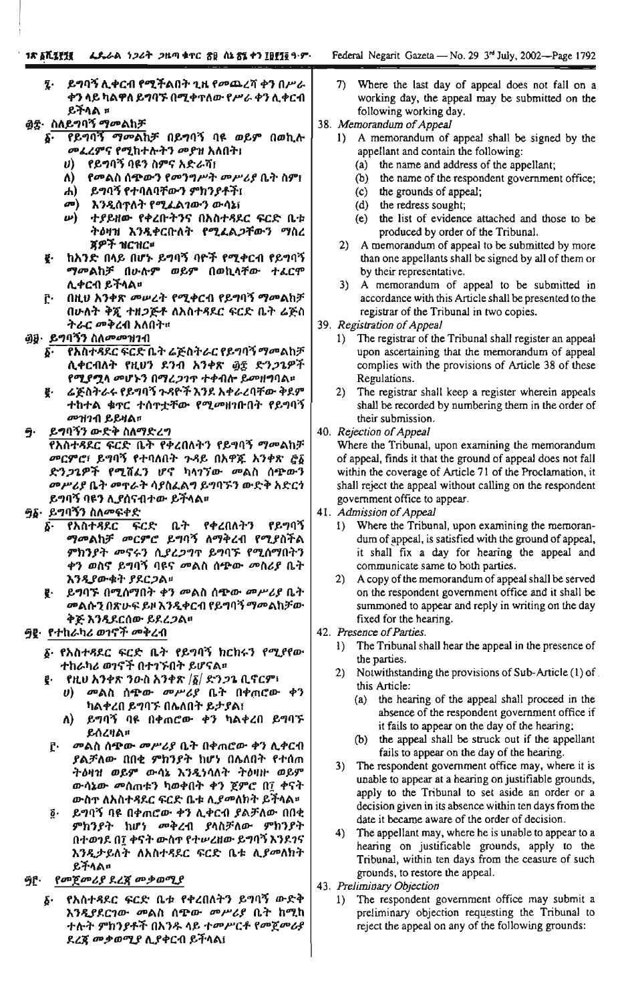| ፯· ይግባኝ ሊቀርብ የሚችልበት ጊዜ የመጨረሻ ቀን በሥራ                                          | 7) Where the last day                               |
|------------------------------------------------------------------------------|-----------------------------------------------------|
| ቀን ላይ ካልዋለ ይግባኙ በሚቀጥለው የሥራ ቀን ሊቀርብ                                           | working day, the ap                                 |
| ይችላል ፡፡<br>ወድ- ስለይግባኝ ማመልከ <i>ቻ</i>                                          | following working o                                 |
| የይግባኝ ማመልከቻ በይግባኝ ባዩ ወይም በወኪሎ<br>$\delta$ .                                  | 38. Memorandum of Appea<br>A memorandum of<br>1)    |
| <i>መፌረምና የሚ</i> ከተሎትን መያዝ አለበት፣                                              | appellant and contai                                |
| <i>ህ</i> ) የይማባኝ ባዩን ስምና አድራሻ፣                                               | the name and a<br>(a)                               |
| ለ) የመልስ ሰ <del>ጥ</del> ውን የመንግሥት መሥሪያ ቤት ስም!                                 | (b) the name of the                                 |
| ሐ) ይግባኝ የተባለባቸውን ምክንያቶች፤                                                     | the grounds of<br>(c)                               |
| <i>መ</i> ) እንዲስ <b>ታለት የሚፈል</b> ገውን ውሳኔ፣                                     | (d) the redress sou                                 |
| <i>w</i> ) ተያይዘው የቀረቡትንና በአስተጻደር ፍርድ ቤቱ                                      | the list of evid<br>(e)                             |
| ትዕዛዝ እንዲቀርቡለት የሚፈልጋቸውን ማስረ                                                   | produced by or                                      |
| <u> ጃዎች ዝርዝር።</u>                                                            | 2) A memorandum of                                  |
| ከአንድ በላይ በሆኑ ይግባኝ ባዮች የሚቀርብ የይግባኝ<br>₹.                                      | than one appellants                                 |
| <i>ማመ</i> ልከቻ በሁ <b>ሱም ወይም በወኪ</b> ላቸው ተፈርሞ                                  | by their representat                                |
| ሊቀርብ ይችላል።                                                                   | A memorandum o<br>3)                                |
| በዚህ እንቀጽ መሠረት የሚቀርብ የይግባኝ ማመልከቻ<br>$\mathbf{f}$                              | accordance with this                                |
| በሁለት ቅጇ ተዘጋጅቶ ለእስተጻደር ፍርድ ቤት ሬጅስ<br>ትራር መቅረብ አለበት።                           | registrar of the Trib<br>39. Registration of Appeal |
| ፴፱· ይግባኝን ስለ <i>መ</i> መዝገብ                                                   | The registrar of the<br>1)                          |
| የእስተዳደር ፍርድ ቤት ሬጅስትራር የይግባኝ ማመልከቻ<br>$\delta$ .                              | upon ascertaining th                                |
| ሊቀርብለት የዚህን ደንብ አንቀጽ ፴፰ ድን <i>ጋጌዎች</i>                                       | complies with the p                                 |
| የሚያሟላ መሆኑን በማረጋገጥ ተቀብሎ ይመዘግባል።                                               | Regulations.                                        |
| ሬጅስትራሩ የይግባኝ ኍጻዮች እንደ አቀራረባቸው ቅደም<br>ğ.                                      | The registrar shall I<br>2)                         |
| ተከተል ቁኖር ተሰዋቷቸው የሚመዘገቡበት የይግባኝ                                               | shall be recorded by                                |
| መዝገብ ይይዛል <b>።</b>                                                           | their submission.                                   |
| <del>9</del> ይግባኝን ውድቅ ስለማድረግ                                                | 40. Rejection of Appeal                             |
| <u>የእስተዳደር ፍርድ ቤት የቀረበለትን የይግባኝ ማመልከቻ</u>                                    | Where the Tribunal, upo                             |
| መርምሮ፣ ይግባኝ የተባለበት ጉዳይ በአዋጁ አንቀጽ ሮ፩                                           | of appeal, finds it that th                         |
| ድን <i>ጋጌዎች የሚሽ</i> ፈን ሆኖ ካላ <b>ገ</b> ኘው መልስ ሰጭውን                             | within the coverage of A                            |
| መሥሪያ ቤት መዋራት ሳያስፈልግ ይግባኙን ውድቅ አድርጎ                                           | shall reject the appeal w                           |
| ይግባኝ ባዩን ሊያሰናብተው ይችላል።                                                       | government office to app                            |
| <del>9</del> §· ይግባኝን ስለመፍቀድ<br>የይማባኝ                                        | 41. Admission of Appeal                             |
| ቢት የቀረበለትን<br><u>δ የአስተጻደር ፍር</u> ድ<br>ማመልከቻ መርምሮ ይግባኝ ለማቅረብ የሚያስችል          | 1) Where the Tribunal,<br>dum of appeal, is sat     |
| ምክንያት መኖሩን ሲያረጋግጥ ይግባኙ የሚሰማበትን                                               | it shall fix a day                                  |
| ቀን ወስኖ ይግባኝ ባዩና መልስ ሰጭው መስሪያ ቤት                                              | communicate same                                    |
| እንዲያውቁት ያደርጋል።                                                               | 2)<br>A copy of the memor                           |
| ይግባኙ በሚሰማበት ቀን መልስ ሰጭው መሥሪያ ቤት<br>g.                                         | on the respondent go                                |
| መልሱን በጽሁፍ ይዞ እንዲቀርብ የይግባኝ ማመልከቻው                                             | summoned to appear                                  |
| ቅጅ እንዲደርሰው ይደረ <i>ጋ</i> ል።                                                   | fixed for the hearing                               |
| <u>ዓ</u> ፂ· የተከራካሪ ወገኖች መቅረብ                                                 | 42. Presence of Parties.                            |
| δ· የአስተጻደር ፍርድ ቤት የይግባኝ ከርከሩን የሚያየው                                          | The Tribunal shall h<br>1)                          |
| ተከራካሪ ወንኖች በተንኙበት ይሆናል።                                                      | the parties.                                        |
| $\mathbf{g}$ - የዚሀ አንቀጽ ንውስ አንቀጽ /፩/ ድንጋጌ ቢኖርም፣                              | Notwithstanding the<br>2)                           |
| መልስ ሰቁው መሥሪያ ቤት በቀጠሮው ቀን<br>$\boldsymbol{\theta}$                            | this Article:                                       |
| ካልቀረበ ይግባኙ በሌለበት ይታያል፤                                                       | (a) the hearing of<br>absence of the r              |
| ይግባኝ ባዩ በቀጠሮው ቀን ካልቀረበ ይግባኙ<br>ለ)                                            | it fails to appea                                   |
| ይሰረዛል።                                                                       | the appeal shal<br>(b)                              |
| መልስ ሰጭው መሥሪያ ቤት በቀጠሮው ቀን ሊቀርብ<br>Ĉ٠.                                         | fails to appear o                                   |
| ያልቻለው በበቂ ምክንያት ከሆነ በሌለበት የተሰጠ                                               | 3)<br>The respondent gov                            |
| ትዕዛዝ ወይም ውሳኔ እንዲነሳለት ትዕዛዙ ወይም                                                | unable to appear at a                               |
| ውሳኔው መስጠቱን ካወቀበት ቀን ጀምሮ በ፤ ቀናት                                               | apply to the Tribur                                 |
| ውስ <b>ተ ለአስተ</b> ጻደር ፍርድ ቤቱ ሊ <i>ያመ</i> ለክት ይችላል።                            | decision given in its                               |
| ይግባኝ ባዩ በቀጠሮው ቀን ሊቀርብ ያልቻለው በበቂ<br>$\delta$ .<br>ምክንያት ከሆነ መቅረብ ያላስቻለው ምክንያት | date it became aware                                |
| በተወንደ በ፲ ቀናት ውስጥ የተሠረዘው ይግባኝ እንደንና                                           | The appellant may, v<br>4)                          |
| እንዲታይለት ለአስተጻደር ፍርድ ቤቱ ሊ <i>ያመ</i> ለክት                                       | hearing on justific                                 |
| ይችላል።                                                                        | Tribunal, within ten                                |
| የመጀመሪያ ደረጃ መቃወሚያ<br>፵፫·                                                      | grounds, to restore t                               |
|                                                                              | 43. Preliminary Objection                           |
| ፩· የአስተጻደር ፍርድ ቤቱ የቀረበለትን ይግባኝ ውድቅ<br><u>አንደየደርጎው መልስ ሰጭው መሥሪደ ቤት ከማከ</u>    | The respondent gov<br>1)<br>preliminary objectiv    |
|                                                                              |                                                     |

ተሉት ምክንያቶች በአንዱ ላይ ተመሥርቶ የመጀመሪያ

ደረጃ *መቃወሚ*ያ ሊያቀርብ ይችላል፤

- of appeal does not fall on a ppeal may be submitted on the day.
- - appeal shall be signed by the in the following:
		- ddress of the appellant;
		- e respondent government office;
		- appeal;
		- ght;
		- dence attached and those to be der of the Tribunal.
	- appeal to be submitted by more shall be signed by all of them or ive.
	- of appeal to be submitted in s Article shall be presented to the unal in two copies.
	- Tribunal shall register an appeal hat the memorandum of appeal provisions of Article 38 of these
	- keep a register wherein appeals numbering them in the order of

on examining the memorandum e ground of appeal does not fall Article 71 of the Proclamation, it ithout calling on the respondent pear.

- upon examining the memoranisfied with the ground of appeal, for hearing the appeal and to both parties.
- randum of appeal shall be served overnment office and it shall be r and reply in writing on the day
- ear the appeal in the presence of
- provisions of  $Sub-Article(1)$  of
	- the appeal shall proceed in the respondent government office if r on the day of the hearing:
	- Il be struck out if the appellant on the day of the hearing.
- emment office may, where it is a hearing on justifiable grounds, nal to set aside an order or a absence within ten days from the e of the order of decision.
- where he is unable to appear to a cable grounds, apply to the days from the ceasure of such he appeal.
- vernment office may submit a preliminary objection requesting the Tribunal to reject the appeal on any of the following grounds: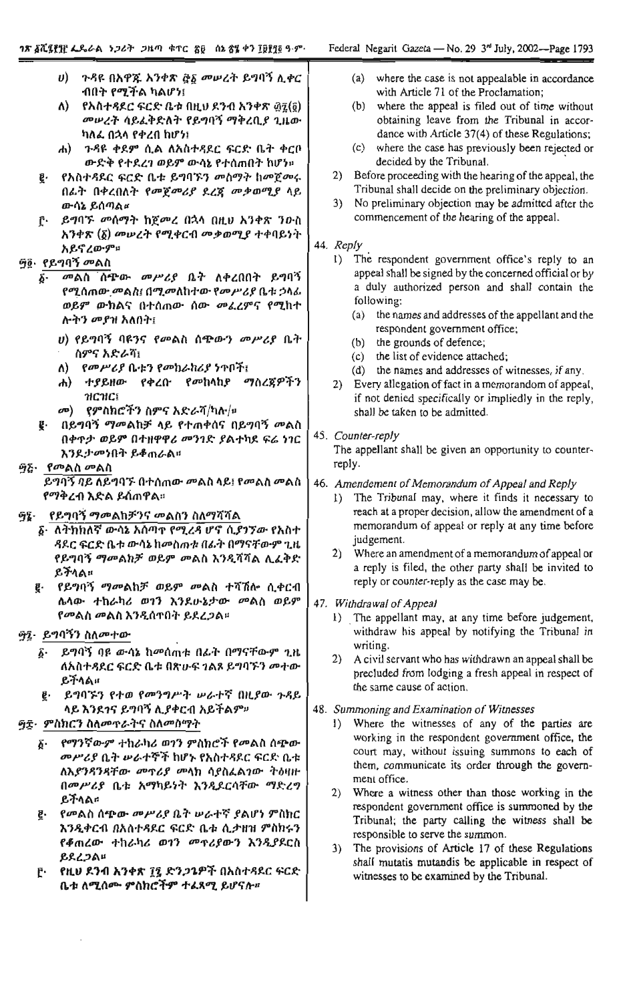- ብበት የሚችል ካልሆነ፤  $\Lambda$ ) የአስተዳደር ፍርድ ቤቱ በዚህ ደንብ አንቀጽ ፴፯(፬) መሠረት ሳይፈቅድለት የይግባኝ ማቅረቢያ ጊዜው ካለፈ በኋላ የቀረበ ከሆን፤
- ሐ) ጉዳዩ ቀደም ሲል ለአስተዳደር ፍርድ ቤት ቀርቦ ውድቅ የተደረገ ወይም ውሳኔ የተሰጠበት ከሆነ።
- E. የአስተዳደር ፍርድ ቤቱ ይግባኙን መስማት ከመጀመሩ በፊት በቀረበለት የመጀመሪያ ደረጃ መቃወሚያ ላይ ውሳኔ ይሰጣል።
- ፫· ይግባኙ መሰማት ከጀመረ በኋላ በዚሀ አንቀጽ ንውስ አንቀጽ (δ) መሠረት የሚቀርብ መቃወሚያ ተቀባይነት አይኖረውም።

# ፵፬· የይግባኝ መልስ

- <u>δ· መልስ ሰ</u>ሞው መሥሪያ ቤት ለቀረበበት ይግባኝ የሚስጠው መልስ፤ በሚመለከተው የመሥሪያ ቤቱ ኃላፊ ወይም ውክልና በተሰጠው ሰው መፌረምና የሚከተ ሎትን መያዝ አለበት፤
	- ሀ) የይግባኝ ባዩንና የመልስ ሰ<del>ጭ</del>ውን መሥሪያ ቤት ስምና አድራሻ፤
	- *የመሥሪያ* ቤቱን የመከራከሪያ ንጥቦች፤ A)
	- ሐ) ተያይዘው የቀረቡ የመከላከያ ማስረጀዎችን **NCHC!**
	- *መ*) የምስክሮችን ስምና አድራሻ/ካሉ/።
- g. በይግባኝ ማመልከቻ ላይ የተጠቀሰና በይግባኝ መልስ በቀጥታ ወይም በተዘዋዋሪ መንገድ ያልተካደ ፍሬ ነገር እንደታመነበት ይቆጠራል።

# ፵፭· *የመ*ልስ መልስ

ይግባኝ ባይ ለይግባኙ በተሰጠው መልስ ላይ<u>፣</u> የመልስ መልስ የማቅረብ እድል ይሰጠዋል።

# ማ፤ የይግባኝ ማመልከቻንና መልስን ስለማሻሻል

- ፩· ለትክክለኛ ውሳኔ አሰጣጥ የሚረዳ ሆኖ ሲያነንው የአስተ *ጻ*ዶር ፍርድ ቤቱ ውሳኔ ከመስጠቱ በፊት በማናቸውም ጊዜ የይግባኝ *ማሙ*ልከቻ ወይም *ሙ*ልስ እንዲሻሻል ሊፈቅድ ይችላል።
- g. የይግባኝ ማመልከቻ ወይም መልስ ተሻሽሎ ሲቀርብ ሌላው ተከራካሪ ወ1ን እንደሁኔታው መልስ ወይም የመልስ መልስ እንዲሰጥበት ይደረጋል።

# <u>ዓ</u>ን ይግባኝን ስለመተው

- ይግባኝ ባዩ ውሳኔ ከመሰጠቱ በፊት በማናቸውም ጊዜ ቩ ለአስተዳደር ፍርድ ቤቱ በጽሁፍ ገልጾ ይግባኙን መተው ይችላል።
- ይግባኙን የተወ የመንግሥት ሥራተኛ በዚያው ጉዳይ  $\ell$  . ላይ እንደንና ይግባኝ ሊያቀርብ አይችልም።

# ፵፰· ምስክርን ስለመጥራትና ስለመስማት

- ፩· የማንኛውም ተከራካሪ ወገን ምስክሮች የመልስ ሰሞው *መሥሪያ* ቤት ሥራተኞች ከሆኑ የአስተጻደር ፍርድ ቤቱ ለእያንዳንዳቸው መጥሪያ መላክ ሳያስፈልገው ትዕዛዙ በመሥሪያ ቤቱ አማካይነት እንዲደርሳቸው ማድረግ ይችላል።
- *የመ*ልስ ሰ**ጭው** *መሥሪያ* **ቤት ሠራተኛ ያልሆነ ም**ስክር æ. እንዲቀርብ በአስተጻደር ፍርድ ቤቱ ሲታዘዝ ምስክሩን የቆጠረው ተከራካሪ ወገን መዋሪያውን እንዲያደርስ **RRLJAH**
- ፫· የዚህ ደንብ አንቀጽ ፲፯ ድን*ጋጌ*ዎች በአስተጻደር ፍርድ ቤቱ ለሚሰሙ ምስክሮችም ተፈጸሚ ይሆናሉ።
- (a) where the case is not appealable in accordance with Article 71 of the Proclamation;
- (b) where the appeal is filed out of time without obtaining leave from the Tribunal in accordance with Article 37(4) of these Regulations;
- (c) where the case has previously been rejected or decided by the Tribunal.
- 2) Before proceeding with the hearing of the appeal, the Tribunal shall decide on the preliminary objection.
- 3) No preliminary objection may be admitted after the commencement of the hearing of the appeal.

# 44. Reply

- 1) The respondent government office's reply to an appeal shall be signed by the concerned official or by a duly authorized person and shall contain the following:
	- (a) the names and addresses of the appellant and the respondent government office;
	- (b) the grounds of defence;
	- (c) the list of evidence attached;
	- (d) the names and addresses of witnesses, if any.
- 2) Every allegation of fact in a memorandom of appeal, if not denied specifically or impliedly in the reply, shall be taken to be admitted.

# 45. Counter-reply

The appellant shall be given an opportunity to counterreply.

- 46. Amendement of Memorandum of Appeal and Reply
	- 1) The Tribunal may, where it finds it necessary to reach at a proper decision, allow the amendment of a memorandum of appeal or reply at any time before judgement.
	- 2) Where an amendment of a memorandum of appeal or a reply is filed, the other party shall be invited to reply or counter-reply as the case may be.
- 47. Withdrawal of Appeal
	- 1) The appellant may, at any time before judgement, withdraw his appeal by notifying the Tribunal in writing.
	- 2) A civil servant who has withdrawn an appeal shall be precluded from lodging a fresh appeal in respect of the same cause of action.

# 48. Summoning and Examination of Witnesses

- 1) Where the witnesses of any of the parties are working in the respondent government office, the court may, without issuing summons to each of them, communicate its order through the government office.
- 2) Where a witness other than those working in the respondent government office is summoned by the Tribunal; the party calling the witness shall be responsible to serve the summon.
- 3) The provisions of Article 17 of these Regulations shall mutatis mutandis be applicable in respect of witnesses to be examined by the Tribunal.